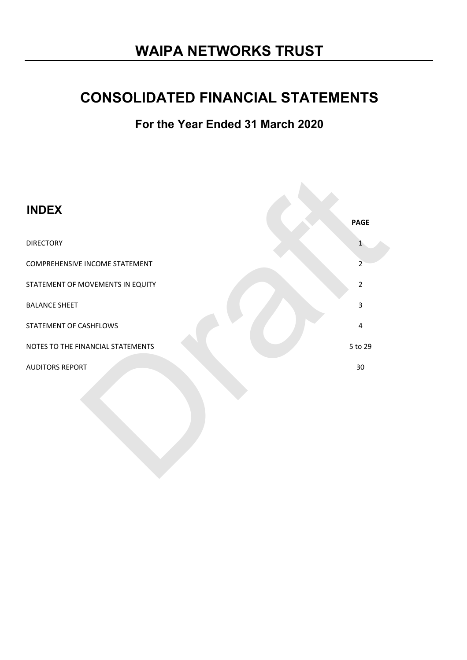# **WAIPA NETWORKS TRUST**

# **CONSOLIDATED FINANCIAL STATEMENTS**

**For the Year Ended 31 March 2020**

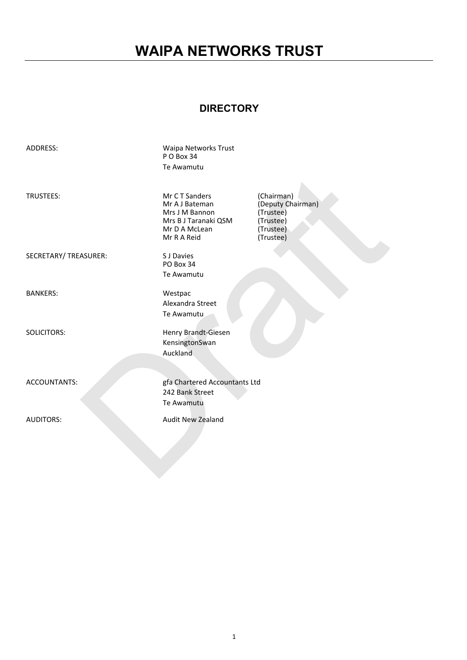# **WAIPA NETWORKS TRUST**

# **DIRECTORY**

| Waipa Networks Trust<br>PO Box 34<br>Te Awamutu                                                           |                                                                                     |
|-----------------------------------------------------------------------------------------------------------|-------------------------------------------------------------------------------------|
| Mr CT Sanders<br>Mr A J Bateman<br>Mrs J M Bannon<br>Mrs B J Taranaki QSM<br>Mr D A McLean<br>Mr R A Reid | (Chairman)<br>(Deputy Chairman)<br>(Trustee)<br>(Trustee)<br>(Trustee)<br>(Trustee) |
| S J Davies<br>PO Box 34<br>Te Awamutu                                                                     |                                                                                     |
| Westpac<br>Alexandra Street<br>Te Awamutu                                                                 |                                                                                     |
| Henry Brandt-Giesen<br>KensingtonSwan<br>Auckland                                                         |                                                                                     |
| gfa Chartered Accountants Ltd<br>242 Bank Street<br>Te Awamutu                                            |                                                                                     |
| <b>Audit New Zealand</b>                                                                                  |                                                                                     |
|                                                                                                           |                                                                                     |
|                                                                                                           |                                                                                     |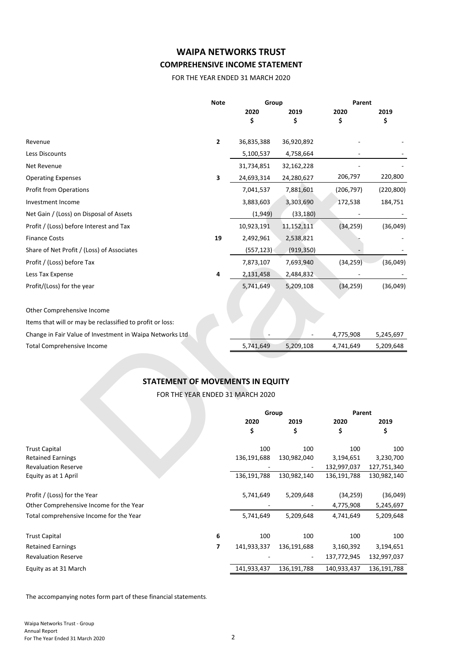# **WAIPA NETWORKS TRUST COMPREHENSIVE INCOME STATEMENT**

FOR THE YEAR ENDED 31 MARCH 2020

|                                                           | <b>Note</b> | Group                            |             | Parent      |             |  |
|-----------------------------------------------------------|-------------|----------------------------------|-------------|-------------|-------------|--|
|                                                           |             | 2020                             | 2019        | 2020        | 2019        |  |
|                                                           |             | \$                               | Ś           | \$          | \$          |  |
| Revenue                                                   | 2           | 36,835,388                       | 36,920,892  |             |             |  |
| Less Discounts                                            |             | 5,100,537                        | 4,758,664   |             |             |  |
| Net Revenue                                               |             | 31,734,851                       | 32,162,228  |             |             |  |
| <b>Operating Expenses</b>                                 | 3           | 24,693,314                       | 24,280,627  | 206,797     | 220,800     |  |
| <b>Profit from Operations</b>                             |             | 7,041,537                        | 7,881,601   | (206,797)   | (220, 800)  |  |
| Investment Income                                         |             | 3,883,603                        | 3,303,690   | 172,538     | 184,751     |  |
| Net Gain / (Loss) on Disposal of Assets                   |             | (1,949)                          | (33, 180)   |             |             |  |
| Profit / (Loss) before Interest and Tax                   |             | 10,923,191                       | 11,152,111  | (34, 259)   | (36,049)    |  |
| <b>Finance Costs</b>                                      | 19          | 2,492,961                        | 2,538,821   |             |             |  |
| Share of Net Profit / (Loss) of Associates                |             | (557, 123)                       | (919, 350)  |             |             |  |
| Profit / (Loss) before Tax                                |             | 7,873,107                        | 7,693,940   | (34, 259)   | (36,049)    |  |
| Less Tax Expense                                          | 4           | 2,131,458                        | 2,484,832   |             |             |  |
| Profit/(Loss) for the year                                |             | 5,741,649                        | 5,209,108   | (34, 259)   | (36,049)    |  |
| Other Comprehensive Income                                |             |                                  |             |             |             |  |
| Items that will or may be reclassified to profit or loss: |             |                                  |             |             |             |  |
| Change in Fair Value of Investment in Waipa Networks Ltd  |             |                                  |             | 4,775,908   | 5,245,697   |  |
| <b>Total Comprehensive Income</b>                         |             | 5,741,649                        | 5,209,108   | 4,741,649   | 5,209,648   |  |
|                                                           |             |                                  |             |             |             |  |
| <b>STATEMENT OF MOVEMENTS IN EQUITY</b>                   |             |                                  |             |             |             |  |
|                                                           |             | FOR THE YEAR ENDED 31 MARCH 2020 |             |             |             |  |
|                                                           |             |                                  |             |             |             |  |
|                                                           |             | Group                            |             | Parent      |             |  |
|                                                           |             | 2020                             | 2019        | 2020        | 2019        |  |
|                                                           |             | \$                               | \$          | \$          | \$          |  |
| <b>Trust Capital</b>                                      |             | 100                              | 100         | 100         | 100         |  |
| <b>Retained Earnings</b>                                  |             | 136,191,688                      | 130,982,040 | 3,194,651   | 3,230,700   |  |
| <b>Revaluation Reserve</b>                                |             |                                  |             | 132,997,037 | 127,751,340 |  |
| Equity as at 1 April                                      |             | 136,191,788                      | 130,982,140 | 136,191,788 | 130,982,140 |  |

# **STATEMENT OF MOVEMENTS IN EQUITY**

|                          | Group       |                              | Parent      |             |
|--------------------------|-------------|------------------------------|-------------|-------------|
|                          | 2020        | 2019                         | 2020        | 2019        |
|                          | \$          | \$                           | \$          | \$          |
|                          | 100         | 100                          | 100         | 100         |
|                          | 136,191,688 | 130,982,040                  | 3,194,651   | 3,230,700   |
|                          |             | $\qquad \qquad \blacksquare$ | 132,997,037 | 127,751,340 |
|                          | 136,191,788 | 130,982,140                  | 136,191,788 | 130,982,140 |
|                          | 5,741,649   | 5,209,648                    | (34, 259)   | (36,049)    |
|                          |             | ۰                            | 4,775,908   | 5,245,697   |
|                          | 5,741,649   | 5,209,648                    | 4,741,649   | 5,209,648   |
| 6                        | 100         | 100                          | 100         | 100         |
| $\overline{\phantom{a}}$ | 141,933,337 | 136,191,688                  | 3,160,392   | 3,194,651   |
|                          |             | ۰                            | 137,772,945 | 132,997,037 |
|                          | 141,933,437 | 136,191,788                  | 140,933,437 | 136,191,788 |
|                          |             |                              |             |             |

The accompanying notes form part of these financial statements.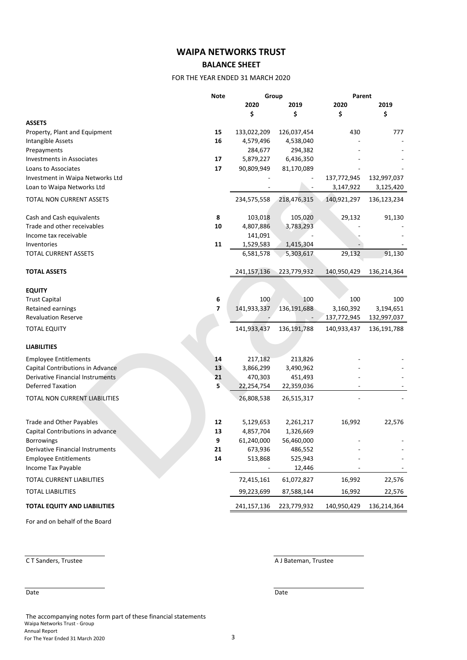# **WAIPA NETWORKS TRUST**

# **BALANCE SHEET**

### FOR THE YEAR ENDED 31 MARCH 2020

|                                         | <b>Note</b> | Group         |               | Parent      |             |  |
|-----------------------------------------|-------------|---------------|---------------|-------------|-------------|--|
|                                         |             | 2020          | 2019          | 2020        | 2019        |  |
|                                         |             | \$            | \$            | \$          | \$          |  |
| <b>ASSETS</b>                           |             |               |               |             |             |  |
| Property, Plant and Equipment           | 15          | 133,022,209   | 126,037,454   | 430         | 777         |  |
| Intangible Assets                       | 16          | 4,579,496     | 4,538,040     |             |             |  |
| Prepayments                             |             | 284,677       | 294,382       |             |             |  |
| <b>Investments in Associates</b>        | 17          | 5,879,227     | 6,436,350     |             |             |  |
| Loans to Associates                     | 17          | 90,809,949    | 81,170,089    |             |             |  |
| Investment in Waipa Networks Ltd        |             |               |               | 137,772,945 | 132,997,037 |  |
| Loan to Waipa Networks Ltd              |             |               |               | 3,147,922   | 3,125,420   |  |
| TOTAL NON CURRENT ASSETS                |             | 234,575,558   | 218,476,315   | 140,921,297 | 136,123,234 |  |
|                                         |             |               |               |             |             |  |
| Cash and Cash equivalents               | 8           | 103,018       | 105,020       | 29,132      | 91,130      |  |
| Trade and other receivables             | 10          | 4,807,886     | 3,783,293     |             |             |  |
| Income tax receivable                   |             | 141,091       |               |             |             |  |
| Inventories                             | 11          | 1,529,583     | 1,415,304     |             |             |  |
| <b>TOTAL CURRENT ASSETS</b>             |             | 6,581,578     | 5,303,617     | 29,132      | 91,130      |  |
| <b>TOTAL ASSETS</b>                     |             | 241, 157, 136 | 223,779,932   | 140,950,429 | 136,214,364 |  |
|                                         |             |               |               |             |             |  |
| <b>EQUITY</b>                           |             |               |               |             |             |  |
| <b>Trust Capital</b>                    | 6           | 100           | 100           | 100         | 100         |  |
| Retained earnings                       | 7           | 141,933,337   | 136,191,688   | 3,160,392   | 3,194,651   |  |
| <b>Revaluation Reserve</b>              |             |               |               | 137,772,945 | 132,997,037 |  |
| <b>TOTAL EQUITY</b>                     |             | 141,933,437   | 136, 191, 788 | 140,933,437 | 136,191,788 |  |
|                                         |             |               |               |             |             |  |
| <b>LIABILITIES</b>                      |             |               |               |             |             |  |
| <b>Employee Entitlements</b>            | 14          | 217,182       | 213,826       |             |             |  |
| Capital Contributions in Advance        | 13          | 3,866,299     | 3,490,962     |             |             |  |
| Derivative Financial Instruments        | 21          | 470,303       | 451,493       |             |             |  |
| <b>Deferred Taxation</b>                | 5           | 22,254,754    | 22,359,036    |             |             |  |
| TOTAL NON CURRENT LIABILITIES           |             | 26,808,538    | 26,515,317    |             |             |  |
|                                         |             |               |               |             |             |  |
| Trade and Other Payables                | 12          | 5,129,653     | 2,261,217     | 16,992      | 22,576      |  |
| Capital Contributions in advance        | 13          | 4,857,704     | 1,326,669     |             |             |  |
| <b>Borrowings</b>                       | 9           | 61,240,000    | 56,460,000    |             |             |  |
| <b>Derivative Financial Instruments</b> | 21          | 673,936       | 486,552       |             |             |  |
| <b>Employee Entitlements</b>            | 14          | 513,868       | 525,943       |             |             |  |
| Income Tax Payable                      |             |               | 12,446        |             |             |  |
| TOTAL CURRENT LIABILITIES               |             | 72,415,161    | 61,072,827    | 16,992      | 22,576      |  |
| <b>TOTAL LIABILITIES</b>                |             | 99,223,699    | 87,588,144    |             | 22,576      |  |
|                                         |             |               |               | 16,992      |             |  |
| <b>TOTAL EQUITY AND LIABILITIES</b>     |             | 241,157,136   | 223,779,932   | 140,950,429 | 136,214,364 |  |

For and on behalf of the Board

The accompanying notes form part of these financial statements Waipa Networks Trust - Group Annual Report For The Year Ended 31 March 2020 3

**CT Sanders, Trustee A J Bateman, Trustee** 

Date Date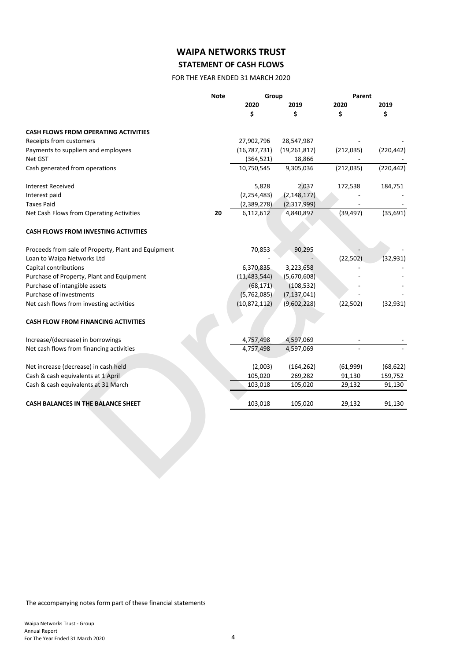# **WAIPA NETWORKS TRUST STATEMENT OF CASH FLOWS**

# FOR THE YEAR ENDED 31 MARCH 2020

|                                                                            | <b>Note</b> | Group                       |                           | Parent     |            |
|----------------------------------------------------------------------------|-------------|-----------------------------|---------------------------|------------|------------|
|                                                                            |             | 2020                        | 2019                      | 2020       | 2019       |
|                                                                            |             | \$                          | \$                        | \$         | \$         |
| <b>CASH FLOWS FROM OPERATING ACTIVITIES</b>                                |             |                             |                           |            |            |
| Receipts from customers                                                    |             | 27,902,796                  | 28,547,987                |            |            |
| Payments to suppliers and employees                                        |             | (16, 787, 731)              | (19, 261, 817)            | (212, 035) | (220, 442) |
| Net GST                                                                    |             | (364, 521)                  | 18,866                    |            |            |
| Cash generated from operations                                             |             | 10,750,545                  | 9,305,036                 | (212, 035) | (220, 442) |
| <b>Interest Received</b>                                                   |             | 5,828                       | 2,037                     | 172,538    | 184,751    |
| Interest paid                                                              |             | (2, 254, 483)               | (2, 148, 177)             |            |            |
| <b>Taxes Paid</b>                                                          |             | (2,389,278)                 | (2,317,999)               |            |            |
| Net Cash Flows from Operating Activities                                   | 20          | 6,112,612                   | 4,840,897                 | (39, 497)  | (35, 691)  |
| <b>CASH FLOWS FROM INVESTING ACTIVITIES</b>                                |             |                             |                           |            |            |
|                                                                            |             |                             |                           |            |            |
| Proceeds from sale of Property, Plant and Equipment                        |             | 70,853                      | 90,295                    |            |            |
| Loan to Waipa Networks Ltd                                                 |             |                             |                           | (22, 502)  | (32, 931)  |
| Capital contributions                                                      |             | 6,370,835                   | 3,223,658                 |            |            |
| Purchase of Property, Plant and Equipment<br>Purchase of intangible assets |             | (11, 483, 544)<br>(68, 171) | (5,670,608)<br>(108, 532) |            |            |
| Purchase of investments                                                    |             | (5,762,085)                 | (7, 137, 041)             |            |            |
| Net cash flows from investing activities                                   |             | (10,872,112)                | (9,602,228)               | (22, 502)  | (32, 931)  |
| <b>CASH FLOW FROM FINANCING ACTIVITIES</b>                                 |             |                             |                           |            |            |
| Increase/(decrease) in borrowings                                          |             | 4,757,498                   | 4,597,069                 |            |            |
| Net cash flows from financing activities                                   |             | 4,757,498                   | 4,597,069                 |            |            |
| Net increase (decrease) in cash held                                       |             | (2,003)                     | (164, 262)                | (61,999)   | (68, 622)  |
| Cash & cash equivalents at 1 April                                         |             | 105,020                     | 269,282                   | 91,130     | 159,752    |
|                                                                            |             | 103,018                     | 105,020                   | 29,132     | 91,130     |
| Cash & cash equivalents at 31 March                                        |             |                             |                           |            |            |

The accompanying notes form part of these financial statements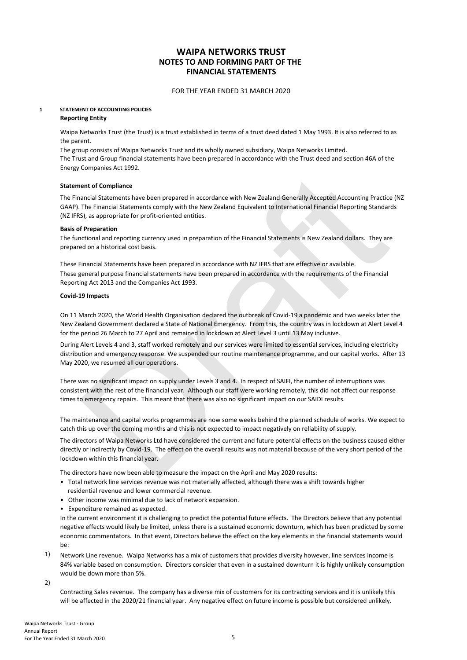#### FOR THE YEAR ENDED 31 MARCH 2020

# **1 STATEMENT OF ACCOUNTING POLICIES**

#### **Reporting Entity**

Waipa Networks Trust (the Trust) is a trust established in terms of a trust deed dated 1 May 1993. It is also referred to as the parent.

The group consists of Waipa Networks Trust and its wholly owned subsidiary, Waipa Networks Limited. The Trust and Group financial statements have been prepared in accordance with the Trust deed and section 46A of the Energy Companies Act 1992.

#### **Statement of Compliance**

The Financial Statements have been prepared in accordance with New Zealand Generally Accepted Accounting Practice (NZ GAAP). The Financial Statements comply with the New Zealand Equivalent to International Financial Reporting Standards (NZ IFRS), as appropriate for profit-oriented entities.

#### **Basis of Preparation**

The functional and reporting currency used in preparation of the Financial Statements is New Zealand dollars. They are prepared on a historical cost basis.

These Financial Statements have been prepared in accordance with NZ IFRS that are effective or available. These general purpose financial statements have been prepared in accordance with the requirements of the Financial Reporting Act 2013 and the Companies Act 1993.

#### **Covid-19 Impacts**

On 11 March 2020, the World Health Organisation declared the outbreak of Covid-19 a pandemic and two weeks later the New Zealand Government declared a State of National Emergency. From this, the country was in lockdown at Alert Level 4 for the period 26 March to 27 April and remained in lockdown at Alert Level 3 until 13 May inclusive.

During Alert Levels 4 and 3, staff worked remotely and our services were limited to essential services, including electricity distribution and emergency response. We suspended our routine maintenance programme, and our capital works. After 13 May 2020, we resumed all our operations.

There was no significant impact on supply under Levels 3 and 4. In respect of SAIFI, the number of interruptions was consistent with the rest of the financial year. Although our staff were working remotely, this did not affect our response times to emergency repairs. This meant that there was also no significant impact on our SAIDI results.

The maintenance and capital works programmes are now some weeks behind the planned schedule of works. We expect to catch this up over the coming months and this is not expected to impact negatively on reliability of supply.

ent of Compliance<br>encial Statements have been prepared in accordance with New Zealand Generally Accepted Accounting Practice (NZ<br>The Financial Statements comply with the New Zealand Equivalent to international Financial Re The directors of Waipa Networks Ltd have considered the current and future potential effects on the business caused either directly or indirectly by Covid-19. The effect on the overall results was not material because of the very short period of the lockdown within this financial year.

The directors have now been able to measure the impact on the April and May 2020 results:

- Total network line services revenue was not materially affected, although there was a shift towards higher residential revenue and lower commercial revenue.
- Other income was minimal due to lack of network expansion.
- Expenditure remained as expected.

In the current environment it is challenging to predict the potential future effects. The Directors believe that any potential negative effects would likely be limited, unless there is a sustained economic downturn, which has been predicted by some economic commentators. In that event, Directors believe the effect on the key elements in the financial statements would be:

1) Network Line revenue. Waipa Networks has a mix of customers that provides diversity however, line services income is 84% variable based on consumption. Directors consider that even in a sustained downturn it is highly unlikely consumption would be down more than 5%.

2)

Contracting Sales revenue. The company has a diverse mix of customers for its contracting services and it is unlikely this will be affected in the 2020/21 financial year. Any negative effect on future income is possible but considered unlikely.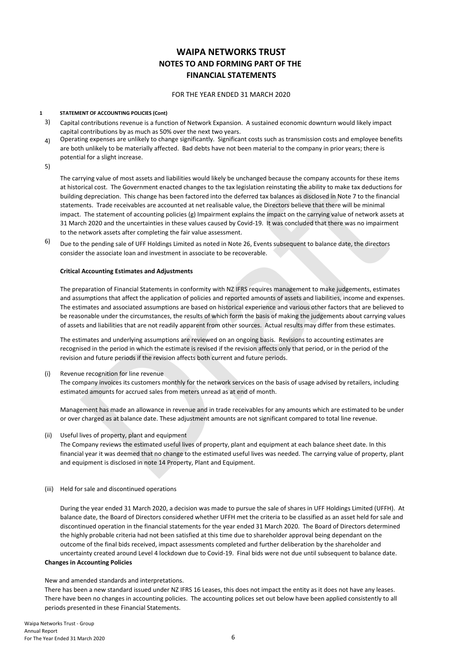#### FOR THE YEAR ENDED 31 MARCH 2020

#### **1 STATEMENT OF ACCOUNTING POLICIES (Cont)**

- 3) Capital contributions revenue is a function of Network Expansion. A sustained economic downturn would likely impact capital contributions by as much as 50% over the next two years.
- 4) Operating expenses are unlikely to change significantly. Significant costs such as transmission costs and employee benefits are both unlikely to be materially affected. Bad debts have not been material to the company in prior years; there is potential for a slight increase.

5)

rying value of most assets and liabilities would likely be unchanged because the company accounts for these items<br>rical coof. The Government encated changes to the tax legislation reinstating the ability to make tax deduct The carrying value of most assets and liabilities would likely be unchanged because the company accounts for these items at historical cost. The Government enacted changes to the tax legislation reinstating the ability to make tax deductions for building depreciation. This change has been factored into the deferred tax balances as disclosed in Note 7 to the financial statements. Trade receivables are accounted at net realisable value, the Directors believe that there will be minimal impact. The statement of accounting policies  $(g)$  Impairment explains the impact on the carrying value of network assets at 31 March 2020 and the uncertainties in these values caused by Covid-19. It was concluded that there was no impairment to the network assets after completing the fair value assessment.

6) Due to the pending sale of UFF Holdings Limited as noted in Note 26, Events subsequent to balance date, the directors consider the associate loan and investment in associate to be recoverable.

#### **Critical Accounting Estimates and Adjustments**

The preparation of Financial Statements in conformity with NZ IFRS requires management to make judgements, estimates and assumptions that affect the application of policies and reported amounts of assets and liabilities, income and expenses. The estimates and associated assumptions are based on historical experience and various other factors that are believed to be reasonable under the circumstances, the results of which form the basis of making the judgements about carrying values of assets and liabilities that are not readily apparent from other sources. Actual results may differ from these estimates.

The estimates and underlying assumptions are reviewed on an ongoing basis. Revisions to accounting estimates are recognised in the period in which the estimate is revised if the revision affects only that period, or in the period of the revision and future periods if the revision affects both current and future periods.

(i) Revenue recognition for line revenue

The company invoices its customers monthly for the network services on the basis of usage advised by retailers, including estimated amounts for accrued sales from meters unread as at end of month.

Management has made an allowance in revenue and in trade receivables for any amounts which are estimated to be under or over charged as at balance date. These adjustment amounts are not significant compared to total line revenue.

(ii) Useful lives of property, plant and equipment

The Company reviews the estimated useful lives of property, plant and equipment at each balance sheet date. In this financial year it was deemed that no change to the estimated useful lives was needed. The carrying value of property, plant and equipment is disclosed in note 14 Property, Plant and Equipment.

(iii) Held for sale and discontinued operations

**Changes in Accounting Policies** During the year ended 31 March 2020, a decision was made to pursue the sale of shares in UFF Holdings Limited (UFFH). At balance date, the Board of Directors considered whether UFFH met the criteria to be classified as an asset held for sale and discontinued operation in the financial statements for the year ended 31 March 2020. The Board of Directors determined the highly probable criteria had not been satisfied at this time due to shareholder approval being dependant on the outcome of the final bids received, impact assessments completed and further deliberation by the shareholder and uncertainty created around Level 4 lockdown due to Covid-19. Final bids were not due until subsequent to balance date.

# New and amended standards and interpretations.

There has been a new standard issued under NZ IFRS 16 Leases, this does not impact the entity as it does not have any leases. There have been no changes in accounting policies. The accounting polices set out below have been applied consistently to all periods presented in these Financial Statements.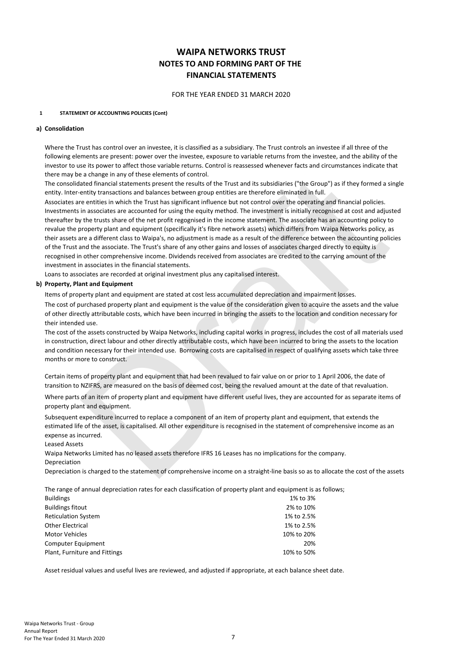FOR THE YEAR ENDED 31 MARCH 2020

#### **1 STATEMENT OF ACCOUNTING POLICIES (Cont)**

#### **a) Consolidation**

Where the Trust has control over an investee, it is classified as a subsidiary. The Trust controls an investee if all three of the following elements are present: power over the investee, exposure to variable returns from the investee, and the ability of the investor to use its power to affect those variable returns. Control is reassessed whenever facts and circumstances indicate that there may be a change in any of these elements of control.

The consolidated financial statements present the results of the Trust and its subsidiaries ("the Group") as if they formed a single entity. Inter-entity transactions and balances between group entities are therefore eliminated in full.

is a change in any of these elements of control.<br>The addinguisal statements present the results of the Trust and its subsidiaries ("the Group") as if they formed a single<br>econtrise increased to the results of the Trust in Associates are entities in which the Trust has significant influence but not control over the operating and financial policies. Investments in associates are accounted for using the equity method. The investment is initially recognised at cost and adjusted thereafter by the trusts share of the net profit regognised in the income statement. The associate has an accounting policy to revalue the property plant and equipment (specifically it's fibre network assets) which differs from Waipa Networks policy, as their assets are a different class to Waipa's, no adjustment is made as a result of the difference between the accounting policies of the Trust and the associate. The Trust's share of any other gains and losses of associates charged directly to equity is recognised in other comprehensive income. Dividends received from associates are credited to the carrying amount of the investment in associates in the financial statements.

Loans to associates are recorded at original investment plus any capitalised interest.

#### **b) Property, Plant and Equipment**

Items of property plant and equipment are stated at cost less accumulated depreciation and impairment losses.

The cost of purchased property plant and equipment is the value of the consideration given to acquire the assets and the value of other directly attributable costs, which have been incurred in bringing the assets to the location and condition necessary for their intended use.

The cost of the assets constructed by Waipa Networks, including capital works in progress, includes the cost of all materials used in construction, direct labour and other directly attributable costs, which have been incurred to bring the assets to the location and condition necessary for their intended use. Borrowing costs are capitalised in respect of qualifying assets which take three months or more to construct.

Certain items of property plant and equipment that had been revalued to fair value on or prior to 1 April 2006, the date of transition to NZIFRS, are measured on the basis of deemed cost, being the revalued amount at the date of that revaluation.

Where parts of an item of property plant and equipment have different useful lives, they are accounted for as separate items of property plant and equipment.

Subsequent expenditure incurred to replace a component of an item of property plant and equipment, that extends the estimated life of the asset, is capitalised. All other expenditure is recognised in the statement of comprehensive income as an expense as incurred.

Leased Assets

**Depreciation** Waipa Networks Limited has no leased assets therefore IFRS 16 Leases has no implications for the company.

Depreciation is charged to the statement of comprehensive income on a straight-line basis so as to allocate the cost of the assets

The range of annual depreciation rates for each classification of property plant and equipment is as follows;

| <b>Buildings</b>              | 1% to 3%   |
|-------------------------------|------------|
| <b>Buildings fitout</b>       | 2% to 10%  |
| <b>Reticulation System</b>    | 1% to 2.5% |
| <b>Other Electrical</b>       | 1% to 2.5% |
| <b>Motor Vehicles</b>         | 10% to 20% |
| Computer Equipment            | 20%        |
| Plant, Furniture and Fittings | 10% to 50% |

Asset residual values and useful lives are reviewed, and adjusted if appropriate, at each balance sheet date.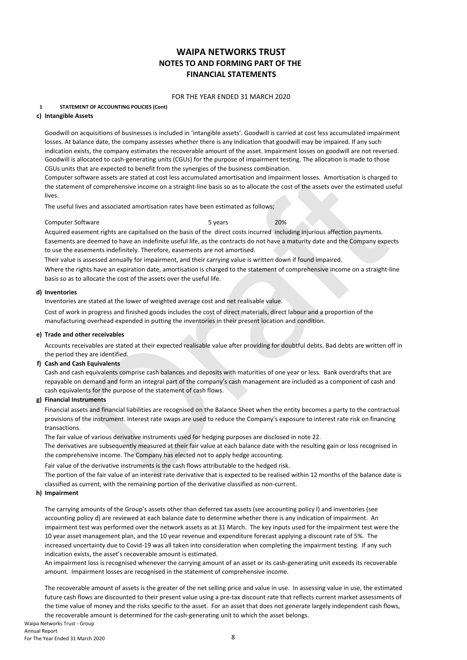#### FOR THE YEAR ENDED 31 MARCH 2020

#### **1 STATEMENT OF ACCOUNTING POLICIES (Cont)**

#### **c) Intangible Assets**

Goodwill on acquisitions of businesses is included in 'intangible assets'. Goodwill is carried at cost less accumulated impairment losses. At balance date, the company assesses whether there is any indication that goodwill may be impaired. If any such indication exists, the company estimates the recoverable amount of the asset. Impairment losses on goodwill are not reversed. Goodwill is allocated to cash-generating units (CGUs) for the purpose of impairment testing. The allocation is made to those CGUs units that are expected to benefit from the synergies of the business combination.

Computer software assets are stated at cost less accumulated amortisation and impairment losses. Amortisation is charged to the statement of comprehensive income on a straight-line basis so as to allocate the cost of the assets over the estimated useful lives.

The useful lives and associated amortisation rates have been estimated as follows;

#### Computer Software 5 years 20%

ritware assets are stated at cost less accumulated amortisation and impairment losses. Amortisation is charged to<br>to d'comprehensive income on a straight-line basis so as to allocate the cost of the assets over the estimat Acquired easement rights are capitalised on the basis of the direct costs incurred including injurious affection payments. Easements are deemed to have an indefinite useful life, as the contracts do not have a maturity date and the Company expects to use the easements indefinitely. Therefore, easements are not amortised.

Their value is assessed annually for impairment, and their carrying value is written down if found impaired.

Where the rights have an expiration date, amortisation is charged to the statement of comprehensive income on a straight-line basis so as to allocate the cost of the assets over the useful life.

#### **d) Inventories**

Inventories are stated at the lower of weighted average cost and net realisable value.

Cost of work in progress and finished goods includes the cost of direct materials, direct labour and a proportion of the manufacturing overhead expended in putting the inventories in their present location and condition.

#### **e) Trade and other receivables**

Accounts receivables are stated at their expected realisable value after providing for doubtful debts. Bad debts are written off in the period they are identified.

#### **f) Cash and Cash Equivalents**

Cash and cash equivalents comprise cash balances and deposits with maturities of one year or less. Bank overdrafts that are repayable on demand and form an integral part of the company's cash management are included as a component of cash and cash equivalents for the purpose of the statement of cash flows.

#### **g) Financial Instruments**

Financial assets and financial liabilities are recognised on the Balance Sheet when the entity becomes a party to the contractual provisions of the instrument. Interest rate swaps are used to reduce the Company's exposure to interest rate risk on financing transactions.

The fair value of various derivative instruments used for hedging purposes are disclosed in note 22.

The derivatives are subsequently measured at their fair value at each balance date with the resulting gain or loss recognised in the comprehensive income. The Company has elected not to apply hedge accounting.

Fair value of the derivative instruments is the cash flows attributable to the hedged risk.

The portion of the fair value of an interest rate derivative that is expected to be realised within 12 months of the balance date is classified as current, with the remaining portion of the derivative classified as non-current.

#### **h) Impairment**

The carrying amounts of the Group's assets other than deferred tax assets (see accounting policy l) and inventories (see accounting policy d) are reviewed at each balance date to determine whether there is any indication of impairment. An impairment test was performed over the network assets as at 31 March. The key inputs used for the impairment test were the 10 year asset management plan, and the 10 year revenue and expenditure forecast applying a discount rate of 5%. The increased uncertainty due to Covid-19 was all taken into consideration when completing the impairment testing. If any such indication exists, the asset's recoverable amount is estimated.

An impairment loss is recognised whenever the carrying amount of an asset or its cash-generating unit exceeds its recoverable amount. Impairment losses are recognised in the statement of comprehensive income.

The recoverable amount of assets is the greater of the net selling price and value in use. In assessing value in use, the estimated future cash flows are discounted to their present value using a pre-tax discount rate that reflects current market assessments of the time value of money and the risks specific to the asset. For an asset that does not generate largely independent cash flows, the recoverable amount is determined for the cash-generating unit to which the asset belongs.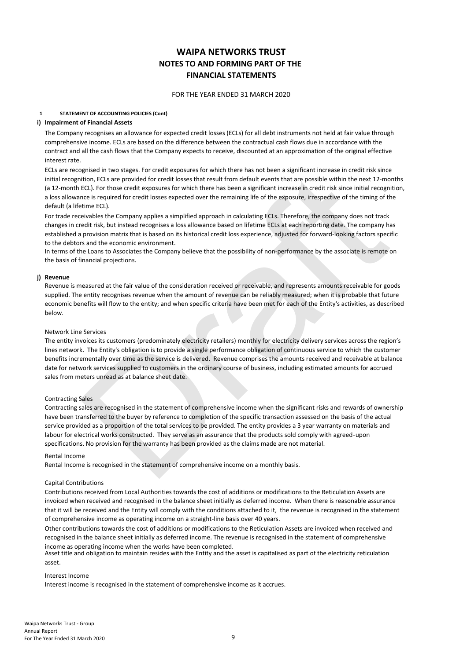#### FOR THE YEAR ENDED 31 MARCH 2020

#### **1 STATEMENT OF ACCOUNTING POLICIES (Cont)**

#### **i) Impairment of Financial Assets**

The Company recognises an allowance for expected credit losses (ECLs) for all debt instruments not held at fair value through comprehensive income. ECLs are based on the difference between the contractual cash flows due in accordance with the contract and all the cash flows that the Company expects to receive, discounted at an approximation of the original effective interest rate.

ECLs are recognised in two stages. For credit exposures for which there has not been a significant increase in credit risk since initial recognition, ECLs are provided for credit losses that result from default events that are possible within the next 12-months (a 12-month ECL). For those credit exposures for which there has been a significant increase in credit risk since initial recognition, a loss allowance is required for credit losses expected over the remaining life of the exposure, irrespective of the timing of the default (a lifetime ECL).

For trade receivables the Company applies a simplified approach in calculating ECLs. Therefore, the company does not track changes in credit risk, but instead recognises a loss allowance based on lifetime ECLs at each reporting date. The company has established a provision matrix that is based on its historical credit loss experience, adjusted for forward-looking factors specific to the debtors and the economic environment.

In terms of the Loans to Associates the Company believe that the possibility of non-performance by the associate is remote on the basis of financial projections.

#### **j) Revenue**

Revenue is measured at the fair value of the consideration received or receivable, and represents amounts receivable for goods supplied. The entity recognises revenue when the amount of revenue can be reliably measured; when it is probable that future economic benefits will flow to the entity; and when specific criteria have been met for each of the Entity's activities, as described below.

#### Network Line Services

The entity invoices its customers (predominately electricity retailers) monthly for electricity delivery services across the region's lines network. The Entity's obligation is to provide a single performance obligation of continuous service to which the customer benefits incrementally over time as the service is delivered. Revenue comprises the amounts received and receivable at balance date for network services supplied to customers in the ordinary course of business, including estimated amounts for accrued sales from meters unread as at balance sheet date.

#### Contracting Sales

whose in who sugges to locate experience to mention them terms in the constrained minimism in the next is a more to the state in the constrained in the state in the next is a more to the constrained from the constrained fr Contracting sales are recognised in the statement of comprehensive income when the significant risks and rewards of ownership have been transferred to the buyer by reference to completion of the specific transaction assessed on the basis of the actual service provided as a proportion of the total services to be provided. The entity provides a 3 year warranty on materials and labour for electrical works constructed. They serve as an assurance that the products sold comply with agreed-upon specifications. No provision for the warranty has been provided as the claims made are not material.

#### Rental Income

Rental Income is recognised in the statement of comprehensive income on a monthly basis.

#### Capital Contributions

Contributions received from Local Authorities towards the cost of additions or modifications to the Reticulation Assets are invoiced when received and recognised in the balance sheet initially as deferred income. When there is reasonable assurance that it will be received and the Entity will comply with the conditions attached to it, the revenue is recognised in the statement of comprehensive income as operating income on a straight-line basis over 40 years.

Other contributions towards the cost of additions or modifications to the Reticulation Assets are invoiced when received and recognised in the balance sheet initially as deferred income. The revenue is recognised in the statement of comprehensive income as operating income when the works have been completed.

Asset title and obligation to maintain resides with the Entity and the asset is capitalised as part of the electricity reticulation asset.

#### Interest Income

Interest income is recognised in the statement of comprehensive income as it accrues.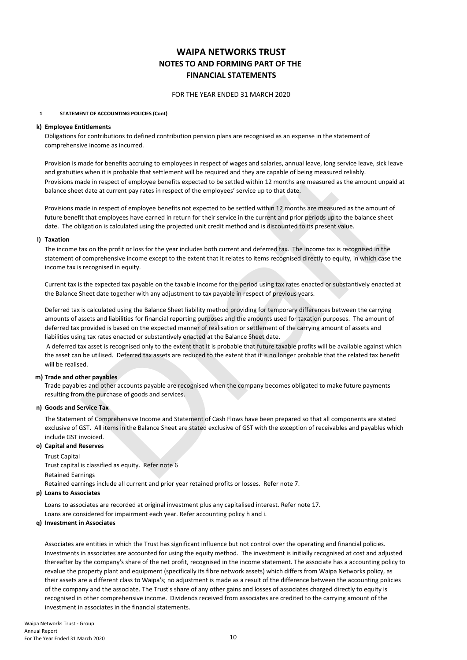#### FOR THE YEAR ENDED 31 MARCH 2020

#### **1 STATEMENT OF ACCOUNTING POLICIES (Cont)**

#### **k) Employee Entitlements**

Obligations for contributions to defined contribution pension plans are recognised as an expense in the statement of comprehensive income as incurred.

Provision is made for benefits accruing to employees in respect of wages and salaries, annual leave, long service leave, sick leave and gratuities when it is probable that settlement will be required and they are capable of being measured reliably. Provisions made in respect of employee benefits expected to be settled within 12 months are measured as the amount unpaid at balance sheet date at current pay rates in respect of the employees' service up to that date.

Provisions made in respect of employee benefits not expected to be settled within 12 months are measured as the amount of future benefit that employees have earned in return for their service in the current and prior periods up to the balance sheet date. The obligation is calculated using the projected unit credit method and is discounted to its present value.

#### **l) Taxation**

The income tax on the profit or loss for the year includes both current and deferred tax. The income tax is recognised in the statement of comprehensive income except to the extent that it relates to items recognised directly to equity, in which case the income tax is recognised in equity.

Current tax is the expected tax payable on the taxable income for the period using tax rates enacted or substantively enacted at the Balance Sheet date together with any adjustment to tax payable in respect of previous years.

is probable that settlement will be required and they are captable of the proper comparisons and an respect of employee benefits expected to be settled within 12 months are measured as the amount unpaid at date at current Deferred tax is calculated using the Balance Sheet liability method providing for temporary differences between the carrying amounts of assets and liabilities for financial reporting purposes and the amounts used for taxation purposes. The amount of deferred tax provided is based on the expected manner of realisation or settlement of the carrying amount of assets and liabilities using tax rates enacted or substantively enacted at the Balance Sheet date.

 A deferred tax asset is recognised only to the extent that it is probable that future taxable profits will be available against which the asset can be utilised. Deferred tax assets are reduced to the extent that it is no longer probable that the related tax benefit will be realised.

#### **m) Trade and other payables**

Trade payables and other accounts payable are recognised when the company becomes obligated to make future payments resulting from the purchase of goods and services.

#### **n) Goods and Service Tax**

The Statement of Comprehensive Income and Statement of Cash Flows have been prepared so that all components are stated exclusive of GST. All items in the Balance Sheet are stated exclusive of GST with the exception of receivables and payables which include GST invoiced.

#### **o) Capital and Reserves**

Trust Capital Trust capital is classified as equity. Refer note 6 Retained Earnings Retained earnings include all current and prior year retained profits or losses. Refer note 7.

#### **p) Loans to Associates**

Loans to associates are recorded at original investment plus any capitalised interest. Refer note 17. Loans are considered for impairment each year. Refer accounting policy h and i.

#### **q) Investment in Associates**

Associates are entities in which the Trust has significant influence but not control over the operating and financial policies. Investments in associates are accounted for using the equity method. The investment is initially recognised at cost and adjusted thereafter by the company's share of the net profit, recognised in the income statement. The associate has a accounting policy to revalue the property plant and equipment (specifically its fibre network assets) which differs from Waipa Networks policy, as their assets are a different class to Waipa's; no adjustment is made as a result of the difference between the accounting policies of the company and the associate. The Trust's share of any other gains and losses of associates charged directly to equity is recognised in other comprehensive income. Dividends received from associates are credited to the carrying amount of the investment in associates in the financial statements.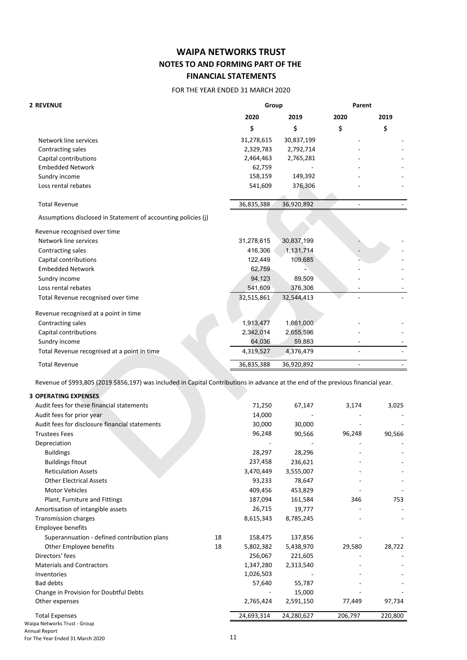## FOR THE YEAR ENDED 31 MARCH 2020

| <b>2 REVENUE</b>                                                                                                                  |            | Group      |                          | Parent |  |
|-----------------------------------------------------------------------------------------------------------------------------------|------------|------------|--------------------------|--------|--|
|                                                                                                                                   | 2020       | 2019       | 2020                     | 2019   |  |
|                                                                                                                                   | \$         | \$         | \$                       | \$     |  |
| Network line services                                                                                                             | 31,278,615 | 30,837,199 |                          |        |  |
| Contracting sales                                                                                                                 | 2,329,783  | 2,792,714  |                          |        |  |
| Capital contributions                                                                                                             | 2,464,463  | 2,765,281  |                          |        |  |
| <b>Embedded Network</b>                                                                                                           | 62,759     |            |                          |        |  |
| Sundry income                                                                                                                     | 158,159    | 149,392    |                          |        |  |
| Loss rental rebates                                                                                                               | 541,609    | 376,306    |                          |        |  |
| <b>Total Revenue</b>                                                                                                              | 36,835,388 | 36,920,892 | $\overline{\phantom{a}}$ |        |  |
| Assumptions disclosed in Statement of accounting policies (j)                                                                     |            |            |                          |        |  |
| Revenue recognised over time                                                                                                      |            |            |                          |        |  |
| Network line services                                                                                                             | 31,278,615 | 30,837,199 |                          |        |  |
| Contracting sales                                                                                                                 | 416,306    | 1,131,714  |                          |        |  |
| Capital contributions                                                                                                             | 122,449    | 109,685    |                          |        |  |
| <b>Embedded Network</b>                                                                                                           | 62,759     |            |                          |        |  |
| Sundry income                                                                                                                     | 94,123     | 89,509     |                          |        |  |
| Loss rental rebates                                                                                                               | 541,609    | 376,306    |                          |        |  |
| Total Revenue recognised over time                                                                                                | 32,515,861 | 32,544,413 |                          |        |  |
| Revenue recognised at a point in time                                                                                             |            |            |                          |        |  |
| Contracting sales                                                                                                                 | 1,913,477  | 1,661,000  |                          |        |  |
| Capital contributions                                                                                                             | 2,342,014  | 2,655,596  |                          |        |  |
| Sundry income                                                                                                                     | 64,036     | 59,883     |                          |        |  |
| Total Revenue recognised at a point in time                                                                                       | 4,319,527  | 4,376,479  |                          |        |  |
| <b>Total Revenue</b>                                                                                                              | 36,835,388 | 36,920,892 | $\overline{a}$           |        |  |
| Revenue of \$993,805 (2019 \$856,197) was included in Capital Contributions in advance at the end of the previous financial year. |            |            |                          |        |  |
| <b>3 OPERATING EXPENSES</b>                                                                                                       |            |            |                          |        |  |
| Audit fees for these financial statements                                                                                         | 71,250     | 67,147     | 3,174                    | 3,025  |  |
| Audit fees for prior year                                                                                                         | 14,000     |            |                          |        |  |
| Audit fees for disclosure financial statements                                                                                    | 30,000     | 30,000     |                          |        |  |
| <b>Trustees Fees</b>                                                                                                              | 96,248     | 90,566     | 96,248                   | 90,566 |  |
| Depreciation                                                                                                                      |            |            |                          |        |  |
| <b>Buildings</b>                                                                                                                  | 28,297     | 28,296     |                          |        |  |
| <b>Buildings fitout</b>                                                                                                           | 237,458    | 236,621    |                          |        |  |
| <b>Reticulation Assets</b>                                                                                                        | 3,470,449  | 3,555,007  |                          |        |  |
|                                                                                                                                   |            |            |                          |        |  |

|    | 71,250     | 67,147     | 3,174   | 3,025   |
|----|------------|------------|---------|---------|
|    | 14,000     |            |         |         |
|    | 30,000     | 30,000     |         |         |
|    | 96,248     | 90,566     | 96,248  | 90,566  |
|    |            |            |         |         |
|    | 28,297     | 28,296     |         |         |
|    | 237,458    | 236,621    |         |         |
|    | 3,470,449  | 3,555,007  |         |         |
|    | 93,233     | 78,647     |         |         |
|    | 409,456    | 453,829    |         |         |
|    | 187,094    | 161,584    | 346     | 753     |
|    | 26,715     | 19,777     |         |         |
|    | 8,615,343  | 8,785,245  |         |         |
|    |            |            |         |         |
| 18 | 158,475    | 137,856    |         |         |
| 18 | 5,802,382  | 5,438,970  | 29,580  | 28,722  |
|    | 256,067    | 221,605    |         |         |
|    | 1,347,280  | 2,313,540  |         |         |
|    | 1,026,503  |            |         |         |
|    | 57,640     | 55,787     |         |         |
|    |            | 15,000     |         |         |
|    | 2,765,424  | 2,591,150  | 77,449  | 97,734  |
|    | 24,693,314 | 24,280,627 | 206,797 | 220,800 |
|    |            |            |         |         |

Waipa Networks Trust - Group Annual Report For The Year Ended 31 March 2020 11 and 2020 11 and 2021 11 and 2021 11 and 2021 11 and 2021 11 and 2021 11 and 2021 11 and 2021 11 and 2021 12 and 2021 12 and 2021 12 and 2021 12 and 2021 12 and 2021 12 and 2021 12 and 20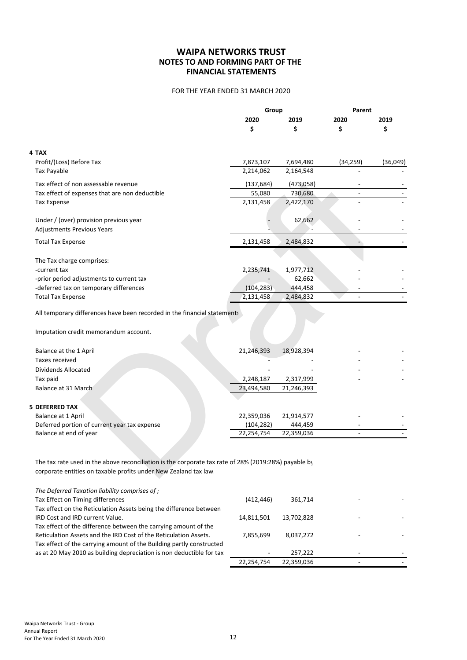# FOR THE YEAR ENDED 31 MARCH 2020

|                                                                                                      | Group      |            | Parent                   |          |
|------------------------------------------------------------------------------------------------------|------------|------------|--------------------------|----------|
|                                                                                                      | 2020       | 2019       | 2020                     | 2019     |
|                                                                                                      | \$         | \$         | \$                       | \$       |
| 4 TAX                                                                                                |            |            |                          |          |
| Profit/(Loss) Before Tax                                                                             | 7,873,107  | 7,694,480  | (34, 259)                | (36,049) |
| Tax Payable                                                                                          | 2,214,062  | 2,164,548  |                          |          |
| Tax effect of non assessable revenue                                                                 | (137, 684) | (473,058)  |                          |          |
| Tax effect of expenses that are non deductible                                                       | 55,080     | 730,680    | $\overline{\phantom{a}}$ |          |
| <b>Tax Expense</b>                                                                                   | 2,131,458  | 2,422,170  |                          |          |
| Under / (over) provision previous year                                                               |            | 62,662     |                          |          |
| <b>Adjustments Previous Years</b>                                                                    |            |            |                          |          |
| <b>Total Tax Expense</b>                                                                             | 2,131,458  | 2,484,832  |                          |          |
| The Tax charge comprises:                                                                            |            |            |                          |          |
| -current tax                                                                                         | 2,235,741  | 1,977,712  |                          |          |
| -prior period adjustments to current tax                                                             |            | 62,662     |                          |          |
| -deferred tax on temporary differences                                                               | (104, 283) | 444,458    |                          |          |
| <b>Total Tax Expense</b>                                                                             | 2,131,458  | 2,484,832  |                          |          |
| All temporary differences have been recorded in the financial statements                             |            |            |                          |          |
| Imputation credit memorandum account.                                                                |            |            |                          |          |
| Balance at the 1 April                                                                               | 21,246,393 | 18,928,394 |                          |          |
| <b>Taxes received</b>                                                                                |            |            |                          |          |
| Dividends Allocated                                                                                  |            |            |                          |          |
| Tax paid                                                                                             | 2,248,187  | 2,317,999  |                          |          |
| Balance at 31 March                                                                                  | 23,494,580 | 21,246,393 |                          |          |
| <b>5 DEFERRED TAX</b>                                                                                |            |            |                          |          |
| Balance at 1 April                                                                                   | 22,359,036 | 21,914,577 |                          |          |
| Deferred portion of current year tax expense                                                         | (104, 282) | 444,459    |                          |          |
| Balance at end of year                                                                               | 22,254,754 | 22,359,036 |                          |          |
| The tax rate used in the above reconciliation is the corporate tax rate of 28% (2019:28%) payable by |            |            |                          |          |
| corporate entities on taxable profits under New Zealand tax law.                                     |            |            |                          |          |

| Balance at the 1 April                       | 21,246,393 | 18,928,394 |  |
|----------------------------------------------|------------|------------|--|
| Taxes received                               |            |            |  |
| Dividends Allocated                          |            |            |  |
| Tax paid                                     | 2,248,187  | 2,317,999  |  |
| Balance at 31 March                          | 23,494,580 | 21,246,393 |  |
|                                              |            |            |  |
| <b>5 DEFERRED TAX</b>                        |            |            |  |
| Balance at 1 April                           | 22,359,036 | 21,914,577 |  |
| Deferred portion of current year tax expense | (104, 282) | 444.459    |  |
| Balance at end of year                       | 22,254,754 | 22,359,036 |  |

| The Deferred Taxation liability comprises of ;                       |            |            |   |  |
|----------------------------------------------------------------------|------------|------------|---|--|
| Tax Effect on Timing differences                                     | (412.446)  | 361.714    |   |  |
| Tax effect on the Reticulation Assets being the difference between   |            |            |   |  |
| IRD Cost and IRD current Value.                                      | 14,811,501 | 13,702,828 |   |  |
| Tax effect of the difference between the carrying amount of the      |            |            |   |  |
| Reticulation Assets and the IRD Cost of the Reticulation Assets.     | 7.855.699  | 8.037.272  | ۰ |  |
| Tax effect of the carrying amount of the Building partly constructed |            |            |   |  |
| as at 20 May 2010 as building depreciation is non deductible for tax |            | 257.222    |   |  |
|                                                                      | 22,254,754 | 22,359,036 |   |  |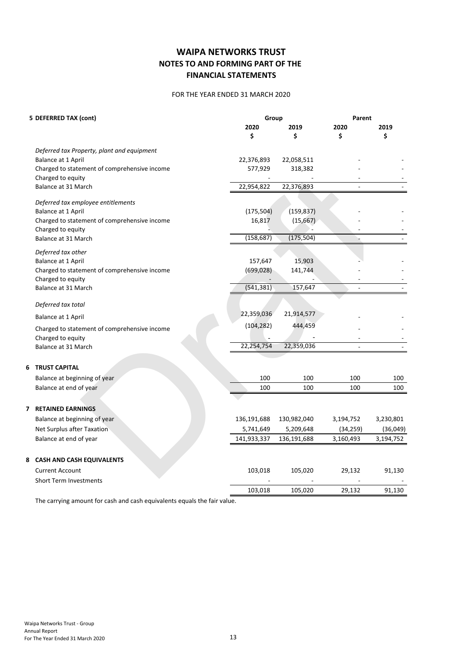#### FOR THE YEAR ENDED 31 MARCH 2020

| 5 DEFERRED TAX (cont)                        | Group       |             | Parent    |           |  |
|----------------------------------------------|-------------|-------------|-----------|-----------|--|
|                                              | 2020        | 2019        | 2020      | 2019      |  |
|                                              | \$          | \$          | \$        | \$        |  |
| Deferred tax Property, plant and equipment   |             |             |           |           |  |
| Balance at 1 April                           | 22,376,893  | 22,058,511  |           |           |  |
| Charged to statement of comprehensive income | 577,929     | 318,382     |           |           |  |
| Charged to equity                            |             |             |           |           |  |
| Balance at 31 March                          | 22,954,822  | 22,376,893  |           |           |  |
| Deferred tax employee entitlements           |             |             |           |           |  |
| Balance at 1 April                           | (175, 504)  | (159, 837)  |           |           |  |
| Charged to statement of comprehensive income | 16,817      | (15, 667)   |           |           |  |
| Charged to equity                            |             |             |           |           |  |
| Balance at 31 March                          | (158, 687)  | (175, 504)  |           |           |  |
| Deferred tax other                           |             |             |           |           |  |
| Balance at 1 April                           | 157,647     | 15,903      |           |           |  |
| Charged to statement of comprehensive income | (699, 028)  | 141,744     |           |           |  |
| Charged to equity                            |             |             |           |           |  |
| Balance at 31 March                          | (541, 381)  | 157,647     |           |           |  |
| Deferred tax total                           |             |             |           |           |  |
| Balance at 1 April                           | 22,359,036  | 21,914,577  |           |           |  |
|                                              | (104, 282)  | 444,459     |           |           |  |
| Charged to statement of comprehensive income |             |             |           |           |  |
| Charged to equity<br>Balance at 31 March     | 22,254,754  | 22,359,036  |           |           |  |
|                                              |             |             |           |           |  |
| <b>TRUST CAPITAL</b><br>6                    |             |             |           |           |  |
| Balance at beginning of year                 | 100         | 100         | 100       | 100       |  |
| Balance at end of year                       | 100         | 100         | 100       | 100       |  |
|                                              |             |             |           |           |  |
| <b>RETAINED EARNINGS</b><br>7                |             |             |           |           |  |
| Balance at beginning of year                 | 136,191,688 | 130,982,040 | 3,194,752 | 3,230,801 |  |
| <b>Net Surplus after Taxation</b>            | 5,741,649   | 5,209,648   | (34, 259) | (36,049)  |  |
| Balance at end of year                       | 141,933,337 | 136,191,688 | 3,160,493 | 3,194,752 |  |
|                                              |             |             |           |           |  |
| 8 CASH AND CASH EQUIVALENTS                  |             |             |           |           |  |
| <b>Current Account</b>                       | 103,018     | 105,020     | 29,132    | 91,130    |  |
| <b>Short Term Investments</b>                |             |             |           |           |  |
|                                              | 103,018     | 105,020     | 29,132    | 91,130    |  |

The carrying amount for cash and cash equivalents equals the fair value.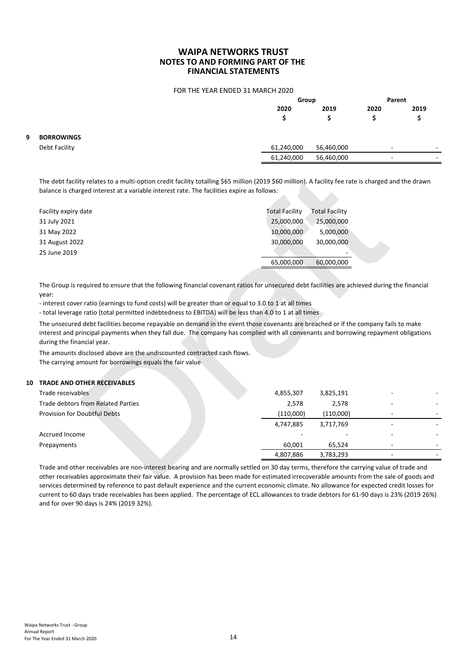#### FOR THE YEAR ENDED 31 MARCH 2020

|   |                   |            | Group      |                          | Parent                   |
|---|-------------------|------------|------------|--------------------------|--------------------------|
|   |                   | 2020<br>S  | 2019       | 2020                     | 2019                     |
| 9 | <b>BORROWINGS</b> |            |            |                          |                          |
|   | Debt Facility     | 61,240,000 | 56,460,000 | $\overline{\phantom{a}}$ | $\overline{\phantom{a}}$ |
|   |                   | 61,240,000 | 56,460,000 |                          |                          |
|   |                   |            |            |                          |                          |

| Facility expiry date | <b>Total Facility</b> | <b>Total Facility</b> |  |
|----------------------|-----------------------|-----------------------|--|
| 31 July 2021         | 25,000,000            | 25,000,000            |  |
| 31 May 2022          | 10,000,000            | 5,000,000             |  |
| 31 August 2022       | 30,000,000            | 30,000,000            |  |
| 25 June 2019         |                       |                       |  |
|                      | 65,000,000            | 60,000,000            |  |

#### **10 TRADE AND OTHER RECEIVABLES**

| The debt facility relates to a multi-option credit facility totalling \$65 million (2019 \$60 million). A facility fee rate is charged and the drawn<br>balance is charged interest at a variable interest rate. The facilities expire as follows:                                                                                                                                                                                                                                                                                                                                                                                                                                                                                                                                                                            |                       |                       |  |
|-------------------------------------------------------------------------------------------------------------------------------------------------------------------------------------------------------------------------------------------------------------------------------------------------------------------------------------------------------------------------------------------------------------------------------------------------------------------------------------------------------------------------------------------------------------------------------------------------------------------------------------------------------------------------------------------------------------------------------------------------------------------------------------------------------------------------------|-----------------------|-----------------------|--|
| Facility expiry date                                                                                                                                                                                                                                                                                                                                                                                                                                                                                                                                                                                                                                                                                                                                                                                                          | <b>Total Facility</b> | <b>Total Facility</b> |  |
| 31 July 2021                                                                                                                                                                                                                                                                                                                                                                                                                                                                                                                                                                                                                                                                                                                                                                                                                  | 25,000,000            | 25,000,000            |  |
| 31 May 2022                                                                                                                                                                                                                                                                                                                                                                                                                                                                                                                                                                                                                                                                                                                                                                                                                   | 10,000,000            | 5,000,000             |  |
| 31 August 2022                                                                                                                                                                                                                                                                                                                                                                                                                                                                                                                                                                                                                                                                                                                                                                                                                | 30,000,000            | 30,000,000            |  |
| 25 June 2019                                                                                                                                                                                                                                                                                                                                                                                                                                                                                                                                                                                                                                                                                                                                                                                                                  |                       |                       |  |
|                                                                                                                                                                                                                                                                                                                                                                                                                                                                                                                                                                                                                                                                                                                                                                                                                               | 65,000,000            | 60,000,000            |  |
| The Group is required to ensure that the following financial covenant ratios for unsecured debt facilities are achieved during the financial<br>year:<br>- interest cover ratio (earnings to fund costs) will be greater than or equal to 3.0 to 1 at all times<br>- total leverage ratio (total permitted indebtedness to EBITDA) will be less than 4.0 to 1 at all times<br>The unsecured debt facilities become repayable on demand in the event those covenants are breached or if the company fails to make<br>interest and principal payments when they fall due. The company has complied with all convenants and borrowing repayment obligations<br>during the financial year.<br>The amounts disclosed above are the undiscounted contracted cash flows.<br>The carrying amount for borrowings equals the fair value |                       |                       |  |
| <b>TRADE AND OTHER RECEIVABLES</b>                                                                                                                                                                                                                                                                                                                                                                                                                                                                                                                                                                                                                                                                                                                                                                                            |                       |                       |  |
| Trade receivables                                                                                                                                                                                                                                                                                                                                                                                                                                                                                                                                                                                                                                                                                                                                                                                                             | 4,855,307             | 3,825,191             |  |
| Trade debtors from Related Parties                                                                                                                                                                                                                                                                                                                                                                                                                                                                                                                                                                                                                                                                                                                                                                                            | 2,578                 | 2,578                 |  |
| Provision for Doubtful Debts                                                                                                                                                                                                                                                                                                                                                                                                                                                                                                                                                                                                                                                                                                                                                                                                  | (110,000)             | (110,000)             |  |
|                                                                                                                                                                                                                                                                                                                                                                                                                                                                                                                                                                                                                                                                                                                                                                                                                               | 4,747,885             | 3,717,769             |  |
| Accrued Income                                                                                                                                                                                                                                                                                                                                                                                                                                                                                                                                                                                                                                                                                                                                                                                                                |                       |                       |  |
| Prepayments                                                                                                                                                                                                                                                                                                                                                                                                                                                                                                                                                                                                                                                                                                                                                                                                                   | 60,001                | 65,524                |  |
|                                                                                                                                                                                                                                                                                                                                                                                                                                                                                                                                                                                                                                                                                                                                                                                                                               | 4,807,886             | 3,783,293             |  |
| Trade and other receivables are non-interest bearing and are normally settled on 30 day terms, therefore the carrying value of trade and<br>other receivables approximate their fair value. A provision has been made for estimated irrecoverable amounts from the sale of goods and                                                                                                                                                                                                                                                                                                                                                                                                                                                                                                                                          |                       |                       |  |

Trade and other receivables are non-interest bearing and are normally settled on 30 day terms, therefore the carrying value of trade and other receivables approximate their fair value. A provision has been made for estimated irrecoverable amounts from the sale of goods and services determined by reference to past default experience and the current economic climate. No allowance for expected credit losses for current to 60 days trade receivables has been applied. The percentage of ECL allowances to trade debtors for 61-90 days is 23% (2019 26%) and for over 90 days is 24% (2019 32%).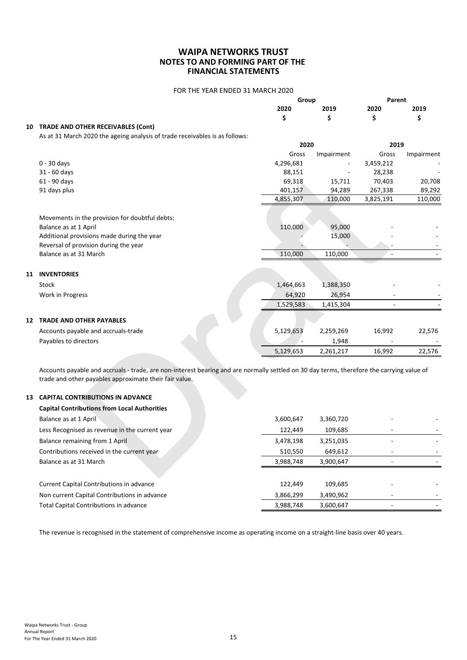#### FOR THE YEAR ENDED 31 MARCH 2020

|                                       |      | Group |      | Parent |
|---------------------------------------|------|-------|------|--------|
|                                       | 2020 | 2019  | 2020 | 2019   |
|                                       |      |       |      |        |
| 10 TRADE AND OTHER RECEIVABLES (Cont) |      |       |      |        |

As at 31 March 2020 the ageing analysis of trade receivables is as follows:

|    |                                                                                                                                                                                                                                                | 2020      |            | 2019      |            |
|----|------------------------------------------------------------------------------------------------------------------------------------------------------------------------------------------------------------------------------------------------|-----------|------------|-----------|------------|
|    |                                                                                                                                                                                                                                                | Gross     | Impairment | Gross     | Impairment |
|    | $0 - 30$ days                                                                                                                                                                                                                                  | 4,296,681 |            | 3,459,212 |            |
|    | 31 - 60 days                                                                                                                                                                                                                                   | 88,151    |            | 28,238    |            |
|    | 61 - 90 days                                                                                                                                                                                                                                   | 69,318    | 15,711     | 70,403    | 20,708     |
|    | 91 days plus                                                                                                                                                                                                                                   | 401,157   | 94,289     | 267,338   | 89,292     |
|    |                                                                                                                                                                                                                                                | 4,855,307 | 110,000    | 3,825,191 | 110,000    |
|    | Movements in the provision for doubtful debts:                                                                                                                                                                                                 |           |            |           |            |
|    | Balance as at 1 April                                                                                                                                                                                                                          | 110,000   | 95,000     |           |            |
|    | Additional provisions made during the year                                                                                                                                                                                                     |           | 15,000     |           |            |
|    | Reversal of provision during the year                                                                                                                                                                                                          |           |            |           |            |
|    | Balance as at 31 March                                                                                                                                                                                                                         | 110,000   | 110,000    |           |            |
|    | <b>11 INVENTORIES</b>                                                                                                                                                                                                                          |           |            |           |            |
|    | Stock                                                                                                                                                                                                                                          | 1,464,663 | 1,388,350  |           |            |
|    | Work in Progress                                                                                                                                                                                                                               | 64,920    | 26,954     |           |            |
|    |                                                                                                                                                                                                                                                | 1,529,583 | 1,415,304  |           |            |
|    | <b>12 TRADE AND OTHER PAYABLES</b>                                                                                                                                                                                                             |           |            |           |            |
|    | Accounts payable and accruals-trade                                                                                                                                                                                                            | 5,129,653 | 2,259,269  | 16,992    | 22,576     |
|    | Payables to directors                                                                                                                                                                                                                          |           | 1,948      |           |            |
|    |                                                                                                                                                                                                                                                | 5,129,653 | 2,261,217  | 16,992    | 22,576     |
| 13 | Accounts payable and accruals - trade, are non-interest bearing and are normally settled on 30 day terms, therefore the carrying value of<br>trade and other payables approximate their fair value.<br><b>CAPITAL CONTRIBUTIONS IN ADVANCE</b> |           |            |           |            |
|    | <b>Capital Contributions from Local Authorities</b>                                                                                                                                                                                            |           |            |           |            |
|    | Balance as at 1 April                                                                                                                                                                                                                          | 3,600,647 | 3,360,720  |           |            |
|    | Less Recognised as revenue in the current year                                                                                                                                                                                                 | 122,449   | 109,685    |           |            |
|    | Balance remaining from 1 April                                                                                                                                                                                                                 | 3,478,198 | 3,251,035  |           |            |
|    | Contributions received in the current year                                                                                                                                                                                                     | 510,550   | 649,612    |           |            |
|    |                                                                                                                                                                                                                                                |           |            |           |            |

# **13 CAPITAL CONTRIBUTIONS IN ADVANCE**

| <b>Capital Contributions from Local Authorities</b> |           |           |  |
|-----------------------------------------------------|-----------|-----------|--|
| Balance as at 1 April                               | 3,600,647 | 3,360,720 |  |
| Less Recognised as revenue in the current year      | 122,449   | 109,685   |  |
| Balance remaining from 1 April                      | 3,478,198 | 3,251,035 |  |
| Contributions received in the current year          | 510,550   | 649,612   |  |
| Balance as at 31 March                              | 3,988,748 | 3,900,647 |  |
|                                                     |           |           |  |
| Current Capital Contributions in advance            | 122,449   | 109,685   |  |
| Non current Capital Contributions in advance        | 3,866,299 | 3,490,962 |  |
| Total Capital Contributions in advance              | 3,988,748 | 3,600,647 |  |

The revenue is recognised in the statement of comprehensive income as operating income on a straight-line basis over 40 years.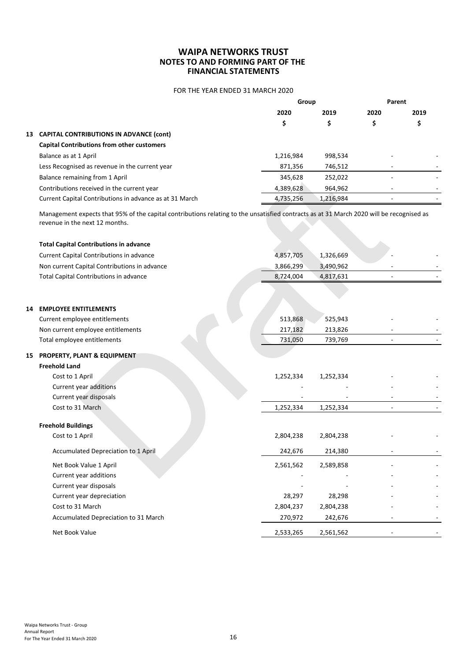### FOR THE YEAR ENDED 31 MARCH 2020

|    |                                                         | Group     |           | Parent                   |                          |
|----|---------------------------------------------------------|-----------|-----------|--------------------------|--------------------------|
|    |                                                         | 2020      | 2019      | 2020                     | 2019                     |
|    |                                                         | \$        |           |                          |                          |
| 13 | <b>CAPITAL CONTRIBUTIONS IN ADVANCE (cont)</b>          |           |           |                          |                          |
|    | <b>Capital Contributions from other customers</b>       |           |           |                          |                          |
|    | Balance as at 1 April                                   | 1,216,984 | 998,534   |                          |                          |
|    | Less Recognised as revenue in the current year          | 871,356   | 746,512   | -                        |                          |
|    | Balance remaining from 1 April                          | 345,628   | 252,022   |                          |                          |
|    | Contributions received in the current year              | 4,389,628 | 964,962   | $\overline{\phantom{a}}$ | $\overline{\phantom{a}}$ |
|    | Current Capital Contributions in advance as at 31 March | 4,735,256 | 1,216,984 | $\overline{\phantom{a}}$ |                          |

|    | Balance remaining from 1 April                                                                                                                                             | 345,628   | 252,022   |  |
|----|----------------------------------------------------------------------------------------------------------------------------------------------------------------------------|-----------|-----------|--|
|    | Contributions received in the current year                                                                                                                                 | 4,389,628 | 964,962   |  |
|    | Current Capital Contributions in advance as at 31 March                                                                                                                    | 4,735,256 | 1,216,984 |  |
|    | Management expects that 95% of the capital contributions relating to the unsatisfied contracts as at 31 March 2020 will be recognised as<br>revenue in the next 12 months. |           |           |  |
|    | <b>Total Capital Contributions in advance</b>                                                                                                                              |           |           |  |
|    | Current Capital Contributions in advance                                                                                                                                   | 4,857,705 | 1,326,669 |  |
|    | Non current Capital Contributions in advance                                                                                                                               | 3,866,299 | 3,490,962 |  |
|    | Total Capital Contributions in advance                                                                                                                                     | 8,724,004 | 4,817,631 |  |
| 14 | <b>EMPLOYEE ENTITLEMENTS</b>                                                                                                                                               |           |           |  |
|    | Current employee entitlements                                                                                                                                              | 513,868   | 525,943   |  |
|    | Non current employee entitlements                                                                                                                                          | 217,182   | 213,826   |  |
|    | Total employee entitlements                                                                                                                                                | 731,050   | 739,769   |  |
|    | 15 PROPERTY, PLANT & EQUIPMENT                                                                                                                                             |           |           |  |
|    | <b>Freehold Land</b>                                                                                                                                                       |           |           |  |
|    | Cost to 1 April                                                                                                                                                            | 1,252,334 | 1,252,334 |  |
|    | Current year additions                                                                                                                                                     |           |           |  |
|    | Current year disposals                                                                                                                                                     |           |           |  |
|    | Cost to 31 March                                                                                                                                                           | 1,252,334 | 1,252,334 |  |
|    | <b>Freehold Buildings</b>                                                                                                                                                  |           |           |  |
|    | Cost to 1 April                                                                                                                                                            | 2,804,238 | 2,804,238 |  |
|    | Accumulated Depreciation to 1 April                                                                                                                                        | 242,676   | 214,380   |  |
|    | Net Book Value 1 April                                                                                                                                                     | 2,561,562 | 2,589,858 |  |
|    | Current year additions                                                                                                                                                     |           |           |  |
|    | Current year disposals                                                                                                                                                     |           |           |  |
|    | Current year depreciation                                                                                                                                                  | 28,297    | 28,298    |  |
|    | Cost to 31 March                                                                                                                                                           | 2,804,237 | 2,804,238 |  |
|    | Accumulated Depreciation to 31 March                                                                                                                                       | 270,972   | 242,676   |  |
|    | Net Book Value                                                                                                                                                             | 2,533,265 | 2,561,562 |  |
|    |                                                                                                                                                                            |           |           |  |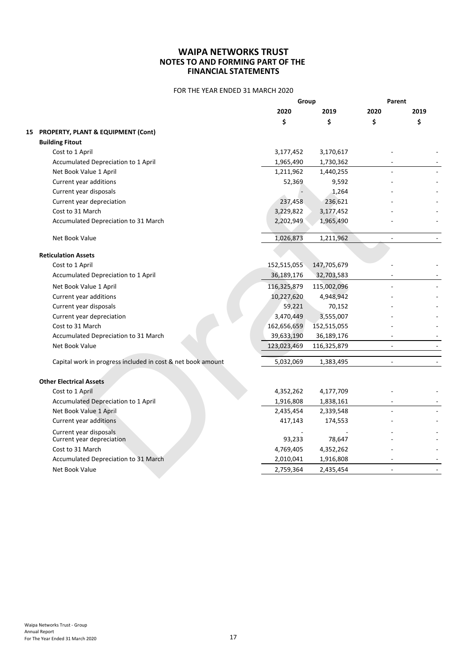# FOR THE YEAR ENDED 31 MARCH 2020

|    |                                                             | Group       |             | Parent                   |        |
|----|-------------------------------------------------------------|-------------|-------------|--------------------------|--------|
|    |                                                             | 2020        | 2019        | 2020                     | 2019   |
|    |                                                             | \$          | \$          | \$                       | \$     |
| 15 | <b>PROPERTY, PLANT &amp; EQUIPMENT (Cont)</b>               |             |             |                          |        |
|    | <b>Building Fitout</b>                                      |             |             |                          |        |
|    | Cost to 1 April                                             | 3,177,452   | 3,170,617   |                          |        |
|    | Accumulated Depreciation to 1 April                         | 1,965,490   | 1,730,362   |                          |        |
|    | Net Book Value 1 April                                      | 1,211,962   | 1,440,255   |                          |        |
|    | Current year additions                                      | 52,369      | 9,592       |                          |        |
|    | Current year disposals                                      |             | 1,264       |                          |        |
|    | Current year depreciation                                   | 237,458     | 236,621     |                          |        |
|    | Cost to 31 March                                            | 3,229,822   | 3,177,452   |                          |        |
|    | Accumulated Depreciation to 31 March                        | 2,202,949   | 1,965,490   |                          |        |
|    | Net Book Value                                              | 1,026,873   | 1,211,962   | $\blacksquare$           | $\sim$ |
|    | <b>Reticulation Assets</b>                                  |             |             |                          |        |
|    | Cost to 1 April                                             | 152,515,055 | 147,705,679 |                          |        |
|    | Accumulated Depreciation to 1 April                         | 36,189,176  | 32,703,583  |                          |        |
|    | Net Book Value 1 April                                      | 116,325,879 | 115,002,096 |                          |        |
|    | Current year additions                                      | 10,227,620  | 4,948,942   |                          |        |
|    | Current year disposals                                      | 59,221      | 70,152      |                          |        |
|    | Current year depreciation                                   | 3,470,449   | 3,555,007   |                          |        |
|    | Cost to 31 March                                            | 162,656,659 | 152,515,055 |                          |        |
|    | Accumulated Depreciation to 31 March                        | 39,633,190  | 36,189,176  |                          |        |
|    | Net Book Value                                              | 123,023,469 | 116,325,879 | $\sim$                   |        |
|    | Capital work in progress included in cost & net book amount | 5,032,069   | 1,383,495   | $\sim$                   |        |
|    | <b>Other Electrical Assets</b>                              |             |             |                          |        |
|    | Cost to 1 April                                             | 4,352,262   | 4,177,709   |                          |        |
|    | Accumulated Depreciation to 1 April                         | 1,916,808   | 1,838,161   | $\overline{\phantom{a}}$ |        |
|    | Net Book Value 1 April                                      | 2,435,454   | 2,339,548   |                          |        |
|    | Current year additions                                      | 417,143     | 174,553     |                          |        |
|    |                                                             |             |             |                          |        |
|    | Current year disposals<br>Current year depreciation         | 93,233      | 78,647      |                          |        |
|    | Cost to 31 March                                            | 4,769,405   | 4,352,262   |                          |        |
|    | Accumulated Depreciation to 31 March                        | 2,010,041   | 1,916,808   |                          |        |
|    | Net Book Value                                              | 2,759,364   | 2,435,454   | $\sim$                   |        |
|    |                                                             |             |             |                          |        |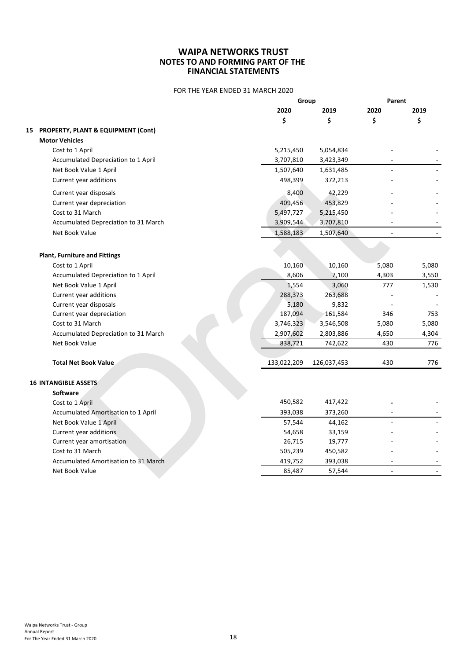## FOR THE YEAR ENDED 31 MARCH 2020

|                                       | Group       |             | Parent                   |       |
|---------------------------------------|-------------|-------------|--------------------------|-------|
|                                       | 2020        | 2019        | 2020                     | 2019  |
|                                       | \$          | \$          | \$                       | \$    |
| 15 PROPERTY, PLANT & EQUIPMENT (Cont) |             |             |                          |       |
| <b>Motor Vehicles</b>                 |             |             |                          |       |
| Cost to 1 April                       | 5,215,450   | 5,054,834   |                          |       |
| Accumulated Depreciation to 1 April   | 3,707,810   | 3,423,349   |                          |       |
| Net Book Value 1 April                | 1,507,640   | 1,631,485   |                          |       |
| Current year additions                | 498,399     | 372,213     |                          |       |
| Current year disposals                | 8,400       | 42,229      |                          |       |
| Current year depreciation             | 409,456     | 453,829     |                          |       |
| Cost to 31 March                      | 5,497,727   | 5,215,450   |                          |       |
| Accumulated Depreciation to 31 March  | 3,909,544   | 3,707,810   |                          |       |
| Net Book Value                        | 1,588,183   | 1,507,640   | $\overline{\phantom{a}}$ |       |
|                                       |             |             |                          |       |
| <b>Plant, Furniture and Fittings</b>  |             |             |                          |       |
| Cost to 1 April                       | 10,160      | 10,160      | 5,080                    | 5,080 |
| Accumulated Depreciation to 1 April   | 8,606       | 7,100       | 4,303                    | 3,550 |
| Net Book Value 1 April                | 1,554       | 3,060       | 777                      | 1,530 |
| Current year additions                | 288,373     | 263,688     |                          |       |
| Current year disposals                | 5,180       | 9,832       |                          |       |
| Current year depreciation             | 187,094     | 161,584     | 346                      | 753   |
| Cost to 31 March                      | 3,746,323   | 3,546,508   | 5,080                    | 5,080 |
| Accumulated Depreciation to 31 March  | 2,907,602   | 2,803,886   | 4,650                    | 4,304 |
| Net Book Value                        | 838,721     | 742,622     | 430                      | 776   |
|                                       |             |             |                          |       |
| <b>Total Net Book Value</b>           | 133,022,209 | 126,037,453 | 430                      | 776   |
| <b>16 INTANGIBLE ASSETS</b>           |             |             |                          |       |
| <b>Software</b>                       |             |             |                          |       |
| Cost to 1 April                       | 450,582     | 417,422     |                          |       |
| Accumulated Amortisation to 1 April   | 393,038     | 373,260     |                          |       |
| Net Book Value 1 April                | 57,544      | 44,162      |                          |       |
| Current year additions                | 54,658      | 33,159      |                          |       |
| Current year amortisation             | 26,715      | 19,777      |                          |       |
| Cost to 31 March                      | 505,239     | 450,582     |                          |       |
| Accumulated Amortisation to 31 March  | 419,752     | 393,038     |                          |       |
| Net Book Value                        | 85,487      | 57,544      | ÷.                       |       |
|                                       |             |             |                          |       |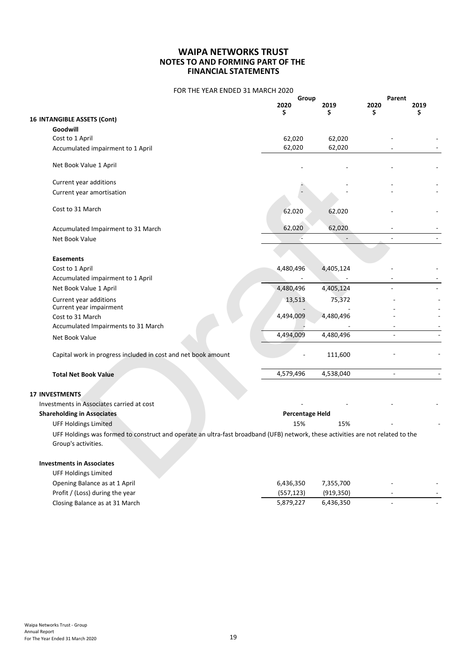| FOR THE YEAR ENDED 31 MARCH 2020 |  |
|----------------------------------|--|
|----------------------------------|--|

|                                                                                                                                 | Group                  |            | Parent         |      |
|---------------------------------------------------------------------------------------------------------------------------------|------------------------|------------|----------------|------|
|                                                                                                                                 | 2020<br>S              | 2019<br>s  | 2020<br>S      | 2019 |
| <b>16 INTANGIBLE ASSETS (Cont)</b>                                                                                              |                        |            |                |      |
| Goodwill                                                                                                                        |                        |            |                |      |
| Cost to 1 April                                                                                                                 | 62,020                 | 62,020     |                |      |
| Accumulated impairment to 1 April                                                                                               | 62,020                 | 62,020     |                |      |
| Net Book Value 1 April                                                                                                          |                        |            |                |      |
| Current year additions                                                                                                          |                        |            |                |      |
| Current year amortisation                                                                                                       |                        |            |                |      |
| Cost to 31 March                                                                                                                | 62.020                 | 62.020     |                |      |
| Accumulated Impairment to 31 March                                                                                              | 62,020                 | 62,020     |                |      |
| Net Book Value                                                                                                                  |                        |            | ä,             |      |
| <b>Easements</b>                                                                                                                |                        |            |                |      |
| Cost to 1 April                                                                                                                 | 4,480,496              | 4,405,124  |                |      |
| Accumulated impairment to 1 April                                                                                               | ä,                     |            |                |      |
| Net Book Value 1 April                                                                                                          | 4,480,496              | 4,405,124  |                |      |
| Current year additions<br>Current year impairment                                                                               | 13,513                 | 75,372     |                |      |
| Cost to 31 March                                                                                                                | 4,494,009              | 4,480,496  |                |      |
| Accumulated Impairments to 31 March                                                                                             |                        |            |                |      |
| Net Book Value                                                                                                                  | 4,494,009              | 4,480,496  |                |      |
| Capital work in progress included in cost and net book amount                                                                   |                        | 111,600    |                |      |
| <b>Total Net Book Value</b>                                                                                                     | 4,579,496              | 4,538,040  | $\overline{a}$ |      |
| <b>17 INVESTMENTS</b>                                                                                                           |                        |            |                |      |
| Investments in Associates carried at cost                                                                                       |                        |            |                |      |
| <b>Shareholding in Associates</b>                                                                                               | <b>Percentage Held</b> |            |                |      |
| <b>UFF Holdings Limited</b>                                                                                                     | 15%                    | 15%        |                |      |
| UFF Holdings was formed to construct and operate an ultra-fast broadband (UFB) network, these activities are not related to the |                        |            |                |      |
| Group's activities.                                                                                                             |                        |            |                |      |
| <b>Investments in Associates</b>                                                                                                |                        |            |                |      |
| <b>UFF Holdings Limited</b>                                                                                                     |                        |            |                |      |
| Opening Balance as at 1 April                                                                                                   | 6,436,350              | 7,355,700  |                |      |
| Profit / (Loss) during the year                                                                                                 | (557, 123)             | (919, 350) |                |      |

Closing Balance as at 31 March 6,879,227 6,436,350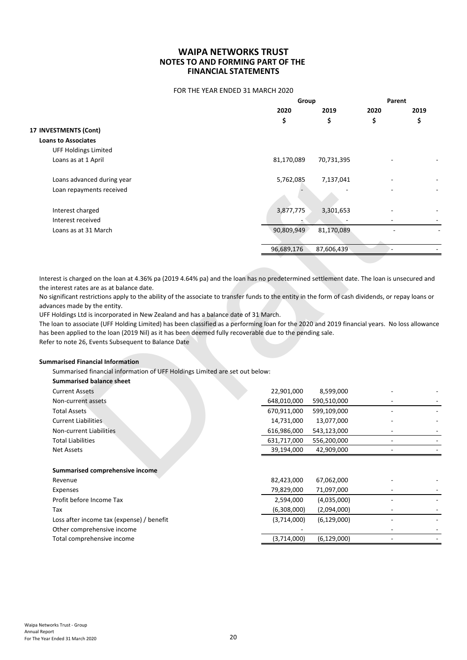FOR THE YEAR ENDED 31 MARCH 2020

|                             | Group      |            | Parent |      |
|-----------------------------|------------|------------|--------|------|
|                             | 2020       | 2019       | 2020   | 2019 |
|                             | \$         | \$         | \$     | \$   |
| 17 INVESTMENTS (Cont)       |            |            |        |      |
| <b>Loans to Associates</b>  |            |            |        |      |
| <b>UFF Holdings Limited</b> |            |            |        |      |
| Loans as at 1 April         | 81,170,089 | 70,731,395 |        |      |
| Loans advanced during year  | 5,762,085  | 7,137,041  |        |      |
| Loan repayments received    |            |            |        |      |
| Interest charged            | 3,877,775  | 3,301,653  |        |      |
| Interest received           |            |            |        |      |
| Loans as at 31 March        | 90,809,949 | 81,170,089 |        |      |
|                             |            |            |        |      |
|                             | 96,689,176 | 87,606,439 |        |      |

Refer to note 26, Events Subsequent to Balance Date

#### **Summarised Financial Information**

| Loans advanced during year                                                                                                                                                                                                                                                                                                                                                                                                                                                                                                                                                                                                                                                                                                                                                                                                                                                                                              | 5,762,085   | 7,137,041     |    |  |
|-------------------------------------------------------------------------------------------------------------------------------------------------------------------------------------------------------------------------------------------------------------------------------------------------------------------------------------------------------------------------------------------------------------------------------------------------------------------------------------------------------------------------------------------------------------------------------------------------------------------------------------------------------------------------------------------------------------------------------------------------------------------------------------------------------------------------------------------------------------------------------------------------------------------------|-------------|---------------|----|--|
| Loan repayments received                                                                                                                                                                                                                                                                                                                                                                                                                                                                                                                                                                                                                                                                                                                                                                                                                                                                                                |             |               |    |  |
| Interest charged                                                                                                                                                                                                                                                                                                                                                                                                                                                                                                                                                                                                                                                                                                                                                                                                                                                                                                        | 3,877,775   | 3,301,653     |    |  |
| Interest received                                                                                                                                                                                                                                                                                                                                                                                                                                                                                                                                                                                                                                                                                                                                                                                                                                                                                                       |             |               |    |  |
| Loans as at 31 March                                                                                                                                                                                                                                                                                                                                                                                                                                                                                                                                                                                                                                                                                                                                                                                                                                                                                                    | 90,809,949  | 81,170,089    |    |  |
|                                                                                                                                                                                                                                                                                                                                                                                                                                                                                                                                                                                                                                                                                                                                                                                                                                                                                                                         | 96,689,176  | 87,606,439    |    |  |
|                                                                                                                                                                                                                                                                                                                                                                                                                                                                                                                                                                                                                                                                                                                                                                                                                                                                                                                         |             |               |    |  |
| erest is charged on the loan at 4.36% pa (2019 4.64% pa) and the loan has no predetermined settlement date. The loan is unsecured and<br>interest rates are as at balance date.<br>significant restrictions apply to the ability of the associate to transfer funds to the entity in the form of cash dividends, or repay loans or<br>vances made by the entity.<br>F Holdings Ltd is incorporated in New Zealand and has a balance date of 31 March.<br>e loan to associate (UFF Holding Limited) has been classified as a performing loan for the 2020 and 2019 financial years. No loss allowance<br>s been applied to the loan (2019 Nil) as it has been deemed fully recoverable due to the pending sale.<br>fer to note 26, Events Subsequent to Balance Date<br>mmarised Financial Information<br>Summarised financial information of UFF Holdings Limited are set out below:<br><b>Summarised balance sheet</b> |             |               |    |  |
| <b>Current Assets</b>                                                                                                                                                                                                                                                                                                                                                                                                                                                                                                                                                                                                                                                                                                                                                                                                                                                                                                   | 22,901,000  | 8,599,000     |    |  |
| Non-current assets                                                                                                                                                                                                                                                                                                                                                                                                                                                                                                                                                                                                                                                                                                                                                                                                                                                                                                      | 648,010,000 | 590,510,000   |    |  |
| <b>Total Assets</b>                                                                                                                                                                                                                                                                                                                                                                                                                                                                                                                                                                                                                                                                                                                                                                                                                                                                                                     | 670,911,000 | 599,109,000   |    |  |
| <b>Current Liabilities</b>                                                                                                                                                                                                                                                                                                                                                                                                                                                                                                                                                                                                                                                                                                                                                                                                                                                                                              | 14,731,000  | 13,077,000    |    |  |
| Non-current Liabilities                                                                                                                                                                                                                                                                                                                                                                                                                                                                                                                                                                                                                                                                                                                                                                                                                                                                                                 | 616,986,000 | 543,123,000   |    |  |
| <b>Total Liabilities</b>                                                                                                                                                                                                                                                                                                                                                                                                                                                                                                                                                                                                                                                                                                                                                                                                                                                                                                | 631,717,000 | 556,200,000   |    |  |
| <b>Net Assets</b>                                                                                                                                                                                                                                                                                                                                                                                                                                                                                                                                                                                                                                                                                                                                                                                                                                                                                                       | 39,194,000  | 42,909,000    | ÷. |  |
| Summarised comprehensive income                                                                                                                                                                                                                                                                                                                                                                                                                                                                                                                                                                                                                                                                                                                                                                                                                                                                                         |             |               |    |  |
| Revenue                                                                                                                                                                                                                                                                                                                                                                                                                                                                                                                                                                                                                                                                                                                                                                                                                                                                                                                 | 82,423,000  | 67,062,000    |    |  |
| Expenses                                                                                                                                                                                                                                                                                                                                                                                                                                                                                                                                                                                                                                                                                                                                                                                                                                                                                                                | 79,829,000  | 71,097,000    |    |  |
| Profit before Income Tax                                                                                                                                                                                                                                                                                                                                                                                                                                                                                                                                                                                                                                                                                                                                                                                                                                                                                                | 2,594,000   | (4,035,000)   |    |  |
| Tax                                                                                                                                                                                                                                                                                                                                                                                                                                                                                                                                                                                                                                                                                                                                                                                                                                                                                                                     | (6,308,000) | (2,094,000)   |    |  |
| Loss after income tax (expense) / benefit                                                                                                                                                                                                                                                                                                                                                                                                                                                                                                                                                                                                                                                                                                                                                                                                                                                                               | (3,714,000) | (6, 129, 000) |    |  |
| Other comprehensive income                                                                                                                                                                                                                                                                                                                                                                                                                                                                                                                                                                                                                                                                                                                                                                                                                                                                                              |             |               |    |  |
| Total comprehensive income                                                                                                                                                                                                                                                                                                                                                                                                                                                                                                                                                                                                                                                                                                                                                                                                                                                                                              | (3,714,000) | (6, 129, 000) | ÷. |  |
|                                                                                                                                                                                                                                                                                                                                                                                                                                                                                                                                                                                                                                                                                                                                                                                                                                                                                                                         |             |               |    |  |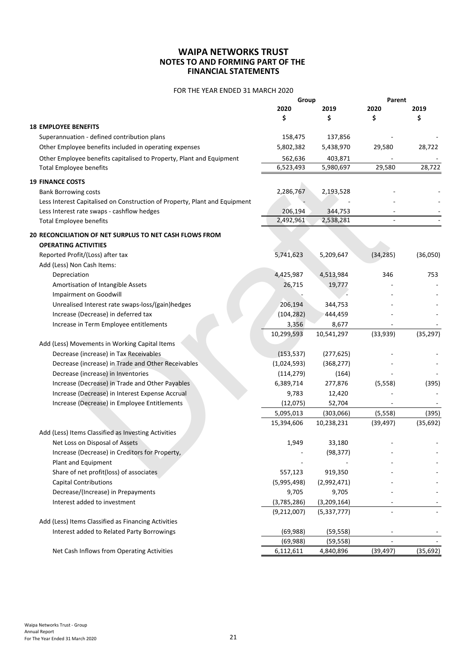# FOR THE YEAR ENDED 31 MARCH 2020

|                                                                            | Group       |               | Parent    |           |
|----------------------------------------------------------------------------|-------------|---------------|-----------|-----------|
|                                                                            | 2020        | 2019          | 2020      | 2019      |
|                                                                            | \$          | \$            | \$        | Ś         |
| <b>18 EMPLOYEE BENEFITS</b>                                                |             |               |           |           |
| Superannuation - defined contribution plans                                | 158,475     | 137,856       |           |           |
| Other Employee benefits included in operating expenses                     | 5,802,382   | 5,438,970     | 29,580    | 28,722    |
| Other Employee benefits capitalised to Property, Plant and Equipment       | 562,636     | 403,871       |           |           |
| <b>Total Employee benefits</b>                                             | 6,523,493   | 5,980,697     | 29,580    | 28,722    |
| <b>19 FINANCE COSTS</b>                                                    |             |               |           |           |
| <b>Bank Borrowing costs</b>                                                | 2,286,767   | 2,193,528     |           |           |
| Less Interest Capitalised on Construction of Property, Plant and Equipment |             |               |           |           |
| Less Interest rate swaps - cashflow hedges                                 | 206,194     | 344,753       |           |           |
| <b>Total Employee benefits</b>                                             | 2,492,961   | 2,538,281     |           |           |
| 20 RECONCILIATION OF NET SURPLUS TO NET CASH FLOWS FROM                    |             |               |           |           |
| <b>OPERATING ACTIVITIES</b>                                                |             |               |           |           |
| Reported Profit/(Loss) after tax                                           | 5,741,623   | 5,209,647     | (34, 285) | (36,050)  |
| Add (Less) Non Cash Items:                                                 |             |               |           |           |
| Depreciation                                                               | 4,425,987   | 4,513,984     | 346       | 753       |
| Amortisation of Intangible Assets                                          | 26,715      | 19,777        |           |           |
| Impairment on Goodwill                                                     |             |               |           |           |
| Unrealised Interest rate swaps-loss/(gain)hedges                           | 206,194     | 344,753       |           |           |
| Increase (Decrease) in deferred tax                                        | (104, 282)  | 444,459       |           |           |
| Increase in Term Employee entitlements                                     | 3,356       | 8,677         |           |           |
|                                                                            | 10,299,593  | 10,541,297    | (33,939)  | (35, 297) |
| Add (Less) Movements in Working Capital Items                              |             |               |           |           |
| Decrease (increase) in Tax Receivables                                     | (153, 537)  | (277, 625)    |           |           |
| Decrease (increase) in Trade and Other Receivables                         | (1,024,593) | (368, 277)    |           |           |
| Decrease (increase) in Inventories                                         | (114, 279)  | (164)         |           |           |
| Increase (Decrease) in Trade and Other Payables                            | 6,389,714   | 277,876       | (5, 558)  | (395)     |
| Increase (Decrease) in Interest Expense Accrual                            | 9,783       | 12,420        |           |           |
| Increase (Decrease) in Employee Entitlements                               | (12, 075)   | 52,704        |           |           |
|                                                                            | 5,095,013   | (303,066)     | (5, 558)  | (395)     |
|                                                                            | 15,394,606  | 10,238,231    | (39, 497) | (35, 692) |
| Add (Less) Items Classified as Investing Activities                        |             |               |           |           |
| Net Loss on Disposal of Assets                                             | 1,949       | 33,180        |           |           |
| Increase (Decrease) in Creditors for Property,                             |             | (98, 377)     |           |           |
| Plant and Equipment                                                        |             |               |           |           |
| Share of net profit(loss) of associates                                    | 557,123     | 919,350       |           |           |
| <b>Capital Contributions</b>                                               | (5,995,498) | (2,992,471)   |           |           |
| Decrease/(Increase) in Prepayments                                         | 9,705       | 9,705         |           |           |
| Interest added to investment                                               | (3,785,286) | (3, 209, 164) |           |           |
|                                                                            | (9,212,007) | (5,337,777)   |           |           |
| Add (Less) Items Classified as Financing Activities                        |             |               |           |           |
| Interest added to Related Party Borrowings                                 | (69, 988)   | (59, 558)     |           |           |
|                                                                            | (69, 988)   | (59, 558)     |           |           |
| Net Cash Inflows from Operating Activities                                 | 6,112,611   | 4,840,896     | (39, 497) | (35, 692) |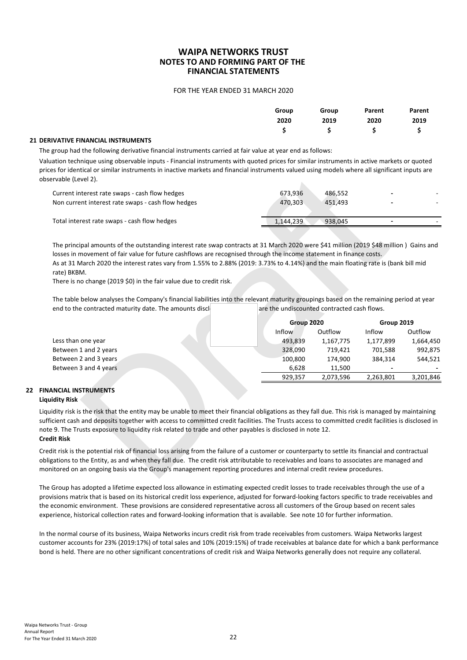#### FOR THE YEAR ENDED 31 MARCH 2020

| Group | Group      | Parent                                                                                                          | Parent |
|-------|------------|-----------------------------------------------------------------------------------------------------------------|--------|
| 2020  | 2019 — 201 | 2020                                                                                                            | 2019   |
|       |            | $\begin{array}{cccccccccccccc} \mathsf{S} & & & \mathsf{S} & & & \mathsf{S} & & & \mathsf{S} & & & \end{array}$ |        |

#### **21 DERIVATIVE FINANCIAL INSTRUMENTS**

The group had the following derivative financial instruments carried at fair value at year end as follows:

Valuation technique using observable inputs - Financial instruments with quoted prices for similar instruments in active markets or quoted prices for identical or similar instruments in inactive markets and financial instruments valued using models where all significant inputs are observable (Level 2).

| Current interest rate swaps - cash flow hedges     | 673,936   | 486.552 | -      |  |
|----------------------------------------------------|-----------|---------|--------|--|
| Non current interest rate swaps - cash flow hedges | 470.303   | 451.493 | $\sim$ |  |
| Total interest rate swaps - cash flow hedges       | 1,144,239 | 938.045 |        |  |

| כט וטר ומכחתונם טרטווווווסר וחטנרמוזוכחנט וח וחסכנררכ חוסרוכט סחס חחסווכוסר וחטנרכותט דמוסכם סאווכרכ מורטופנט שונים וחסמכט סרכ<br>ervable (Level 2).                                                                                                                                                                                                                                                                                                                                       |                                             |           |            |           |
|--------------------------------------------------------------------------------------------------------------------------------------------------------------------------------------------------------------------------------------------------------------------------------------------------------------------------------------------------------------------------------------------------------------------------------------------------------------------------------------------|---------------------------------------------|-----------|------------|-----------|
| Current interest rate swaps - cash flow hedges                                                                                                                                                                                                                                                                                                                                                                                                                                             | 673,936                                     | 486,552   |            |           |
| Non current interest rate swaps - cash flow hedges                                                                                                                                                                                                                                                                                                                                                                                                                                         | 470,303                                     | 451,493   |            |           |
| Total interest rate swaps - cash flow hedges                                                                                                                                                                                                                                                                                                                                                                                                                                               | 1,144,239                                   | 938,045   |            |           |
| The principal amounts of the outstanding interest rate swap contracts at 31 March 2020 were \$41 million (2019 \$48 million) Gains and<br>losses in movement of fair value for future cashflows are recognised through the income statement in finance costs.<br>As at 31 March 2020 the interest rates vary from 1.55% to 2.88% (2019: 3.73% to 4.14%) and the main floating rate is (bank bill mid<br>rate) BKBM.<br>There is no change (2019 \$0) in the fair value due to credit risk. |                                             |           |            |           |
| The table below analyses the Company's financial liabilities into the relevant maturity groupings based on the remaining period at year<br>end to the contracted maturity date. The amounts discl                                                                                                                                                                                                                                                                                          | are the undiscounted contracted cash flows. |           |            |           |
|                                                                                                                                                                                                                                                                                                                                                                                                                                                                                            | Group 2020                                  |           | Group 2019 |           |
|                                                                                                                                                                                                                                                                                                                                                                                                                                                                                            | Inflow                                      | Outflow   | Inflow     | Outflow   |
| Less than one year                                                                                                                                                                                                                                                                                                                                                                                                                                                                         | 493,839                                     | 1,167,775 | 1,177,899  | 1,664,450 |
| Between 1 and 2 years                                                                                                                                                                                                                                                                                                                                                                                                                                                                      | 328,090                                     | 719,421   | 701,588    | 992,875   |
| Between 2 and 3 years                                                                                                                                                                                                                                                                                                                                                                                                                                                                      | 100,800                                     | 174,900   | 384,314    | 544,521   |
| Between 3 and 4 years                                                                                                                                                                                                                                                                                                                                                                                                                                                                      | 6,628                                       | 11,500    |            |           |
|                                                                                                                                                                                                                                                                                                                                                                                                                                                                                            | 929,357                                     | 2,073,596 | 2,263,801  | 3,201,846 |
| <b>ANCIAL INSTRUMENTS</b><br>uidity Risk<br>uidity risk is the risk that the entity may be unable to meet their financial obligations as they fall due. This risk is managed by maintaining<br>ficient cash and deposits together with access to committed credit facilities. The Trusts access to committed credit facilities is disclosed in                                                                                                                                             |                                             |           |            |           |
| e 9. The Trusts exposure to liquidity risk related to trade and other payables is disclosed in note 12.                                                                                                                                                                                                                                                                                                                                                                                    |                                             |           |            |           |
| dit Risk<br>dit risk is the potential risk of financial loss arising from the failure of a customer or counterparty to settle its financial and contractual                                                                                                                                                                                                                                                                                                                                |                                             |           |            |           |

#### **22 FINANCIAL INSTRUMENTS Liquidity Risk**

The Group has adopted a lifetime expected loss allowance in estimating expected credit losses to trade receivables through the use of a provisions matrix that is based on its historical credit loss experience, adjusted for forward-looking factors specific to trade receivables and the economic environment. These provisions are considered representative across all customers of the Group based on recent sales experience, historical collection rates and forward-looking information that is available. See note 10 for further information.

In the normal course of its business, Waipa Networks incurs credit risk from trade receivables from customers. Waipa Networks largest customer accounts for 23% (2019:17%) of total sales and 10% (2019:15%) of trade receivables at balance date for which a bank performance bond is held. There are no other significant concentrations of credit risk and Waipa Networks generally does not require any collateral.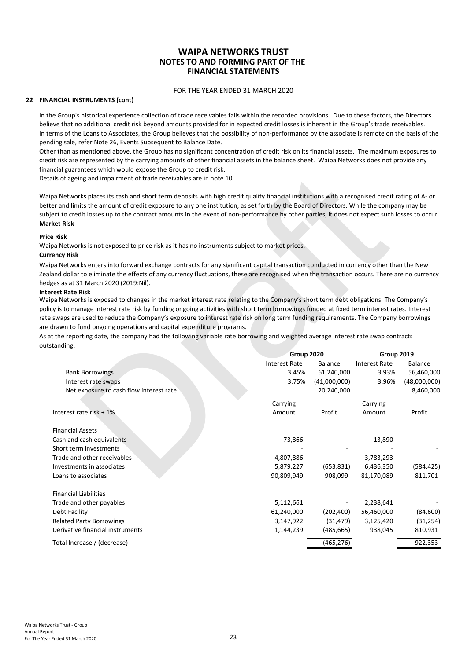#### FOR THE YEAR ENDED 31 MARCH 2020

#### **22 FINANCIAL INSTRUMENTS (cont)**

In the Group's historical experience collection of trade receivables falls within the recorded provisions. Due to these factors, the Directors believe that no additional credit risk beyond amounts provided for in expected credit losses is inherent in the Group's trade receivables. In terms of the Loans to Associates, the Group believes that the possibility of non-performance by the associate is remote on the basis of the pending sale, refer Note 26, Events Subsequent to Balance Date.

Other than as mentioned above, the Group has no significant concentration of credit risk on its financial assets. The maximum exposures to credit risk are represented by the carrying amounts of other financial assets in the balance sheet. Waipa Networks does not provide any financial guarantees which would expose the Group to credit risk.

Details of ageing and impairment of trade receivables are in note 10.

#### **Price Risk**

#### **Currency Risk**

#### **Interest Rate Risk**

| ails of ageing and impairment of trade receivables are in note 10.                                                                                                                                                                                                                                                                                                                                                                                                                                                                                                                                                                       |                      |              |                      |                |
|------------------------------------------------------------------------------------------------------------------------------------------------------------------------------------------------------------------------------------------------------------------------------------------------------------------------------------------------------------------------------------------------------------------------------------------------------------------------------------------------------------------------------------------------------------------------------------------------------------------------------------------|----------------------|--------------|----------------------|----------------|
| ipa Networks places its cash and short term deposits with high credit quality financial institutions with a recognised credit rating of A- or<br>ter and limits the amount of credit exposure to any one institution, as set forth by the Board of Directors. While the company may be<br>ject to credit losses up to the contract amounts in the event of non-performance by other parties, it does not expect such losses to occur.<br>rket Risk                                                                                                                                                                                       |                      |              |                      |                |
| e Risk:                                                                                                                                                                                                                                                                                                                                                                                                                                                                                                                                                                                                                                  |                      |              |                      |                |
| ipa Networks is not exposed to price risk as it has no instruments subject to market prices.<br>rency Risk                                                                                                                                                                                                                                                                                                                                                                                                                                                                                                                               |                      |              |                      |                |
| ipa Networks enters into forward exchange contracts for any significant capital transaction conducted in currency other than the New<br>land dollar to eliminate the effects of any currency fluctuations, these are recognised when the transaction occurs. There are no currency<br>lges as at 31 March 2020 (2019:Nil).<br>erest Rate Risk                                                                                                                                                                                                                                                                                            |                      |              |                      |                |
| ipa Networks is exposed to changes in the market interest rate relating to the Company's short term debt obligations. The Company's<br>cy is to manage interest rate risk by funding ongoing activities with short term borrowings funded at fixed term interest rates. Interest<br>swaps are used to reduce the Company's exposure to interest rate risk on long term funding requirements. The Company borrowings<br>drawn to fund ongoing operations and capital expenditure programs.<br>at the reporting date, the company had the following variable rate borrowing and weighted average interest rate swap contracts<br>standing: |                      |              |                      |                |
|                                                                                                                                                                                                                                                                                                                                                                                                                                                                                                                                                                                                                                          | Group 2020           |              | Group 2019           |                |
|                                                                                                                                                                                                                                                                                                                                                                                                                                                                                                                                                                                                                                          | <b>Interest Rate</b> | Balance      | <b>Interest Rate</b> | <b>Balance</b> |
| <b>Bank Borrowings</b>                                                                                                                                                                                                                                                                                                                                                                                                                                                                                                                                                                                                                   | 3.45%                | 61,240,000   | 3.93%                | 56,460,000     |
| Interest rate swaps                                                                                                                                                                                                                                                                                                                                                                                                                                                                                                                                                                                                                      | 3.75%                | (41,000,000) | 3.96%                | (48,000,000)   |
| Net exposure to cash flow interest rate                                                                                                                                                                                                                                                                                                                                                                                                                                                                                                                                                                                                  |                      | 20,240,000   |                      | 8,460,000      |
|                                                                                                                                                                                                                                                                                                                                                                                                                                                                                                                                                                                                                                          | Carrying             |              | Carrying             |                |
| Interest rate risk + 1%                                                                                                                                                                                                                                                                                                                                                                                                                                                                                                                                                                                                                  | Amount               | Profit       | Amount               | Profit         |
| <b>Financial Assets</b>                                                                                                                                                                                                                                                                                                                                                                                                                                                                                                                                                                                                                  |                      |              |                      |                |
| Cash and cash equivalents                                                                                                                                                                                                                                                                                                                                                                                                                                                                                                                                                                                                                | 73,866               |              | 13,890               |                |
| Short term investments                                                                                                                                                                                                                                                                                                                                                                                                                                                                                                                                                                                                                   |                      |              |                      |                |
| Trade and other receivables                                                                                                                                                                                                                                                                                                                                                                                                                                                                                                                                                                                                              | 4,807,886            |              | 3,783,293            |                |
| Investments in associates                                                                                                                                                                                                                                                                                                                                                                                                                                                                                                                                                                                                                | 5,879,227            | (653, 831)   | 6,436,350            | (584, 425)     |
| Loans to associates                                                                                                                                                                                                                                                                                                                                                                                                                                                                                                                                                                                                                      | 90,809,949           | 908,099      | 81,170,089           | 811,701        |
| <b>Financial Liabilities</b>                                                                                                                                                                                                                                                                                                                                                                                                                                                                                                                                                                                                             |                      |              |                      |                |
| Trade and other payables                                                                                                                                                                                                                                                                                                                                                                                                                                                                                                                                                                                                                 | 5,112,661            |              | 2,238,641            |                |
| Debt Facility                                                                                                                                                                                                                                                                                                                                                                                                                                                                                                                                                                                                                            | 61,240,000           | (202, 400)   | 56,460,000           | (84, 600)      |
| <b>Related Party Borrowings</b>                                                                                                                                                                                                                                                                                                                                                                                                                                                                                                                                                                                                          | 3,147,922            | (31, 479)    | 3,125,420            | (31, 254)      |
| Derivative financial instruments                                                                                                                                                                                                                                                                                                                                                                                                                                                                                                                                                                                                         | 1,144,239            | (485, 665)   | 938,045              | 810,931        |
| Total Increase / (decrease)                                                                                                                                                                                                                                                                                                                                                                                                                                                                                                                                                                                                              |                      | (465, 276)   |                      | 922,353        |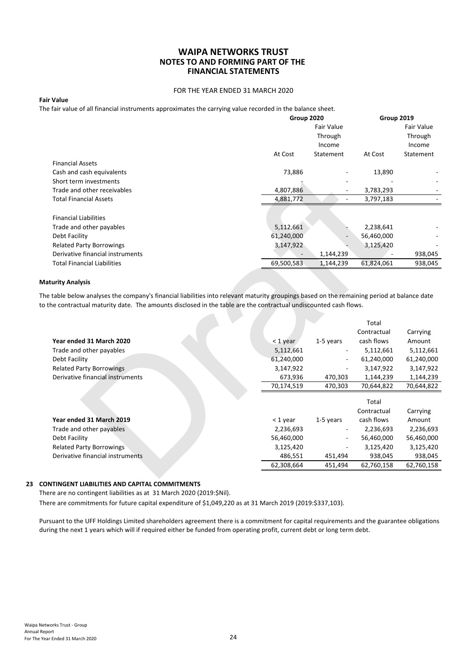#### FOR THE YEAR ENDED 31 MARCH 2020

#### **Fair Value**

The fair value of all financial instruments approximates the carrying value recorded in the balance sheet.

|                                    | Group 2020               |                   | Group 2019 |            |
|------------------------------------|--------------------------|-------------------|------------|------------|
|                                    |                          | <b>Fair Value</b> |            | Fair Value |
|                                    |                          | Through           |            | Through    |
|                                    |                          | Income            |            | Income     |
|                                    | At Cost                  | Statement         | At Cost    | Statement  |
| <b>Financial Assets</b>            |                          |                   |            |            |
| Cash and cash equivalents          | 73,886                   |                   | 13,890     |            |
| Short term investments             |                          |                   |            |            |
| Trade and other receivables        | 4,807,886                |                   | 3,783,293  |            |
| <b>Total Financial Assets</b>      | 4,881,772                |                   | 3,797,183  |            |
|                                    |                          |                   |            |            |
| <b>Financial Liabilities</b>       |                          |                   |            |            |
| Trade and other payables           | 5,112,661                |                   | 2,238,641  |            |
| Debt Facility                      | 61,240,000               |                   | 56,460,000 |            |
| <b>Related Party Borrowings</b>    | 3,147,922                |                   | 3,125,420  |            |
| Derivative financial instruments   | $\overline{\phantom{a}}$ | 1,144,239         |            | 938,045    |
| <b>Total Financial Liabilities</b> | 69,500,583               | 1,144,239         | 61,824,061 | 938,045    |

#### **Maturity Analysis**

| Cash and cash equivalents                                                                                                                  | 73,886     |           | 13,890      |            |
|--------------------------------------------------------------------------------------------------------------------------------------------|------------|-----------|-------------|------------|
| Short term investments                                                                                                                     |            |           |             |            |
| Trade and other receivables                                                                                                                | 4,807,886  |           | 3,783,293   |            |
| <b>Total Financial Assets</b>                                                                                                              | 4,881,772  | ä,        | 3,797,183   |            |
| <b>Financial Liabilities</b>                                                                                                               |            |           |             |            |
|                                                                                                                                            |            |           |             |            |
| Trade and other payables                                                                                                                   | 5,112,661  |           | 2,238,641   |            |
| Debt Facility                                                                                                                              | 61,240,000 |           | 56,460,000  |            |
| <b>Related Party Borrowings</b>                                                                                                            | 3,147,922  |           | 3,125,420   |            |
| Derivative financial instruments                                                                                                           |            | 1,144,239 |             | 938,045    |
| <b>Total Financial Liabilities</b>                                                                                                         | 69,500,583 | 1,144,239 | 61,824,061  | 938,045    |
|                                                                                                                                            |            |           |             |            |
| Maturity Analysis                                                                                                                          |            |           |             |            |
| he table below analyses the company's financial liabilities into relevant maturity groupings based on the remaining period at balance date |            |           |             |            |
| o the contractual maturity date. The amounts disclosed in the table are the contractual undiscounted cash flows.                           |            |           |             |            |
|                                                                                                                                            |            |           |             |            |
|                                                                                                                                            |            |           | Total       |            |
|                                                                                                                                            |            |           | Contractual | Carrying   |
| Year ended 31 March 2020                                                                                                                   | $<$ 1 year | 1-5 years | cash flows  | Amount     |
| Trade and other payables                                                                                                                   | 5,112,661  |           | 5,112,661   | 5,112,661  |
| Debt Facility                                                                                                                              | 61,240,000 |           | 61,240,000  | 61,240,000 |
| <b>Related Party Borrowings</b>                                                                                                            | 3,147,922  |           | 3,147,922   | 3,147,922  |
| Derivative financial instruments                                                                                                           | 673,936    | 470,303   | 1,144,239   | 1,144,239  |
|                                                                                                                                            | 70,174,519 | 470,303   | 70,644,822  | 70,644,822 |
|                                                                                                                                            |            |           |             |            |
|                                                                                                                                            |            |           | Total       |            |
|                                                                                                                                            |            |           | Contractual | Carrying   |
| Year ended 31 March 2019                                                                                                                   | $<$ 1 year | 1-5 years | cash flows  | Amount     |
| Trade and other payables                                                                                                                   | 2,236,693  |           | 2,236,693   | 2,236,693  |
| Debt Facility                                                                                                                              | 56,460,000 |           | 56,460,000  | 56,460,000 |
| <b>Related Party Borrowings</b>                                                                                                            | 3,125,420  |           | 3,125,420   | 3,125,420  |
| Derivative financial instruments                                                                                                           | 486,551    | 451,494   | 938,045     | 938,045    |
|                                                                                                                                            | 62,308,664 | 451,494   | 62,760,158  | 62,760,158 |
|                                                                                                                                            |            |           |             |            |

# **23 CONTINGENT LIABILITIES AND CAPITAL COMMITMENTS**

There are no contingent liabilities as at 31 March 2020 (2019:\$Nil).

There are commitments for future capital expenditure of \$1,049,220 as at 31 March 2019 (2019:\$337,103).

Pursuant to the UFF Holdings Limited shareholders agreement there is a commitment for capital requirements and the guarantee obligations during the next 1 years which will if required either be funded from operating profit, current debt or long term debt.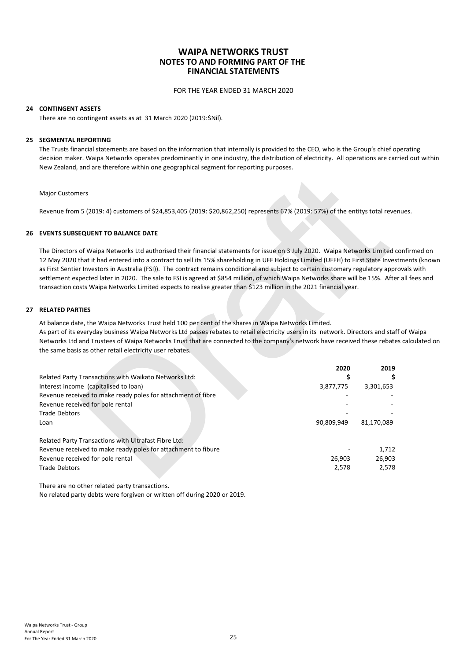FOR THE YEAR ENDED 31 MARCH 2020

#### **24 CONTINGENT ASSETS**

There are no contingent assets as at 31 March 2020 (2019:\$Nil).

#### **25 SEGMENTAL REPORTING**

The Trusts financial statements are based on the information that internally is provided to the CEO, who is the Group's chief operating decision maker. Waipa Networks operates predominantly in one industry, the distribution of electricity. All operations are carried out within New Zealand, and are therefore within one geographical segment for reporting purposes.

#### **26 EVENTS SUBSEQUENT TO BALANCE DATE**

The Directors of Waipa Networks Ltd authorised their financial statements for issue on 3 July 2020. Waipa Networks Limited confirmed on 12 May 2020 that it had entered into a contract to sell its 15% shareholding in UFF Holdings Limited (UFFH) to First State Investments (known as First Sentier Investors in Australia (FSI)). The contract remains conditional and subject to certain customary regulatory approvals with settlement expected later in 2020. The sale to FSI is agreed at \$854 million, of which Waipa Networks share will be 15%. After all fees and transaction costs Waipa Networks Limited expects to realise greater than \$123 million in the 2021 financial year.

#### **27 RELATED PARTIES**

As part of its everyday business Waipa Networks Ltd passes rebates to retail electricity users in its network. Directors and staff of Waipa Networks Ltd and Trustees of Waipa Networks Trust that are connected to the company's network have received these rebates calculated on the same basis as other retail electricity user rebates.

| <b>Major Customers</b>                                                                                                                                                                                                                                                                                                                                                                                                                                                                                                                                                                                                                                                 |                 |                 |
|------------------------------------------------------------------------------------------------------------------------------------------------------------------------------------------------------------------------------------------------------------------------------------------------------------------------------------------------------------------------------------------------------------------------------------------------------------------------------------------------------------------------------------------------------------------------------------------------------------------------------------------------------------------------|-----------------|-----------------|
| Revenue from 5 (2019: 4) customers of \$24,853,405 (2019: \$20,862,250) represents 67% (2019: 57%) of the entitys total revenu                                                                                                                                                                                                                                                                                                                                                                                                                                                                                                                                         |                 |                 |
| <b>EVENTS SUBSEQUENT TO BALANCE DATE</b>                                                                                                                                                                                                                                                                                                                                                                                                                                                                                                                                                                                                                               |                 |                 |
| The Directors of Waipa Networks Ltd authorised their financial statements for issue on 3 July 2020. Waipa Networks Limited cor<br>12 May 2020 that it had entered into a contract to sell its 15% shareholding in UFF Holdings Limited (UFFH) to First State Investm<br>as First Sentier Investors in Australia (FSI)). The contract remains conditional and subject to certain customary regulatory approv<br>settlement expected later in 2020. The sale to FSI is agreed at \$854 million, of which Waipa Networks share will be 15%. After a<br>transaction costs Waipa Networks Limited expects to realise greater than \$123 million in the 2021 financial year. |                 |                 |
| <b>RELATED PARTIES</b>                                                                                                                                                                                                                                                                                                                                                                                                                                                                                                                                                                                                                                                 |                 |                 |
| At balance date, the Waipa Networks Trust held 100 per cent of the shares in Waipa Networks Limited.<br>As part of its everyday business Waipa Networks Ltd passes rebates to retail electricity users in its network. Directors and staff c<br>Networks Ltd and Trustees of Waipa Networks Trust that are connected to the company's network have received these rebates o<br>the same basis as other retail electricity user rebates.                                                                                                                                                                                                                                |                 |                 |
|                                                                                                                                                                                                                                                                                                                                                                                                                                                                                                                                                                                                                                                                        |                 |                 |
|                                                                                                                                                                                                                                                                                                                                                                                                                                                                                                                                                                                                                                                                        | 2020            | 2019            |
| Related Party Transactions with Waikato Networks Ltd:                                                                                                                                                                                                                                                                                                                                                                                                                                                                                                                                                                                                                  | \$<br>3,877,775 | \$<br>3,301,653 |
| Interest income (capitalised to loan)<br>Revenue received to make ready poles for attachment of fibre                                                                                                                                                                                                                                                                                                                                                                                                                                                                                                                                                                  |                 |                 |
| Revenue received for pole rental                                                                                                                                                                                                                                                                                                                                                                                                                                                                                                                                                                                                                                       |                 |                 |
| <b>Trade Debtors</b>                                                                                                                                                                                                                                                                                                                                                                                                                                                                                                                                                                                                                                                   |                 |                 |
| Loan                                                                                                                                                                                                                                                                                                                                                                                                                                                                                                                                                                                                                                                                   | 90,809,949      | 81,170,089      |
| Related Party Transactions with Ultrafast Fibre Ltd:                                                                                                                                                                                                                                                                                                                                                                                                                                                                                                                                                                                                                   |                 |                 |
| Revenue received to make ready poles for attachment to fibure                                                                                                                                                                                                                                                                                                                                                                                                                                                                                                                                                                                                          |                 | 1,712           |
| Revenue received for pole rental                                                                                                                                                                                                                                                                                                                                                                                                                                                                                                                                                                                                                                       | 26,903          | 26,903          |
| <b>Trade Debtors</b>                                                                                                                                                                                                                                                                                                                                                                                                                                                                                                                                                                                                                                                   | 2,578           | 2,578           |

There are no other related party transactions. No related party debts were forgiven or written off during 2020 or 2019.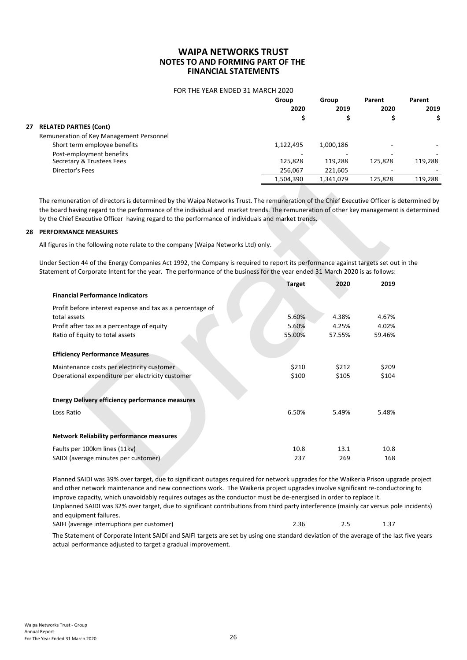#### FOR THE YEAR ENDED 31 MARCH 2020

|    |                                          | Group     | Group     | Parent  | Parent  |
|----|------------------------------------------|-----------|-----------|---------|---------|
|    |                                          | 2020      | 2019      | 2020    | 2019    |
|    |                                          |           |           |         | \$      |
| 27 | <b>RELATED PARTIES (Cont)</b>            |           |           |         |         |
|    | Remuneration of Key Management Personnel |           |           |         |         |
|    | Short term employee benefits             | 1,122,495 | 1,000,186 |         |         |
|    | Post-employment benefits                 |           |           |         |         |
|    | Secretary & Trustees Fees                | 125,828   | 119,288   | 125,828 | 119,288 |
|    | Director's Fees                          | 256,067   | 221,605   | ۰       |         |
|    |                                          | 1,504,390 | 1,341,079 | 125,828 | 119,288 |
|    |                                          |           |           |         |         |

The remuneration of directors is determined by the Waipa Networks Trust. The remuneration of the Chief Executive Officer is determined by the board having regard to the performance of the individual and market trends. The remuneration of other key management is determined by the Chief Executive Officer having regard to the performance of individuals and market trends.

#### **28 PERFORMANCE MEASURES**

Under Section 44 of the Energy Companies Act 1992, the Company is required to report its performance against targets set out in the Statement of Corporate Intent for the year. The performance of the business for the year ended 31 March 2020 is as follows:

| בססונטו או פר                                                                                                                 | 2.00,007      | 221,000   |         |
|-------------------------------------------------------------------------------------------------------------------------------|---------------|-----------|---------|
|                                                                                                                               | 1,504,390     | 1,341,079 | 125,828 |
|                                                                                                                               |               |           |         |
| remuneration of directors is determined by the Waipa Networks Trust. The remuneration of the Chief Executive Officer is de    |               |           |         |
| board having regard to the performance of the individual and market trends. The remuneration of other key management is       |               |           |         |
| the Chief Executive Officer having regard to the performance of individuals and market trends.                                |               |           |         |
| <b>FORMANCE MEASURES</b>                                                                                                      |               |           |         |
| figures in the following note relate to the company (Waipa Networks Ltd) only.                                                |               |           |         |
| ler Section 44 of the Energy Companies Act 1992, the Company is required to report its performance against targets set out ii |               |           |         |
| tement of Corporate Intent for the year. The performance of the business for the year ended 31 March 2020 is as follows:      |               |           |         |
|                                                                                                                               | <b>Target</b> | 2020      | 2019    |
| <b>Financial Performance Indicators</b>                                                                                       |               |           |         |
| Profit before interest expense and tax as a percentage of                                                                     |               |           |         |
| total assets                                                                                                                  | 5.60%         | 4.38%     | 4.67%   |
| Profit after tax as a percentage of equity                                                                                    | 5.60%         | 4.25%     | 4.02%   |
| Ratio of Equity to total assets                                                                                               | 55.00%        | 57.55%    | 59.46%  |
| <b>Efficiency Performance Measures</b>                                                                                        |               |           |         |
| Maintenance costs per electricity customer                                                                                    | \$210         | \$212     | \$209   |
| Operational expenditure per electricity customer                                                                              | \$100         | \$105     | \$104   |
|                                                                                                                               |               |           |         |
| <b>Energy Delivery efficiency performance measures</b>                                                                        |               |           |         |
| Loss Ratio                                                                                                                    | 6.50%         | 5.49%     | 5.48%   |
|                                                                                                                               |               |           |         |
| <b>Network Reliability performance measures</b>                                                                               |               |           |         |
| Faults per 100km lines (11kv)                                                                                                 | 10.8          | 13.1      | 10.8    |
| SAIDI (average minutes per customer)                                                                                          | 237           | 269       | 168     |
| Blanned CAIDLwas 200/ over target, due to cignificant outages required for network ungrades for the Waikeria Brison ward      |               |           |         |

SAIFI (average interruptions per customer) 1.37 2.36 2.5 1.37 Planned SAIDI was 39% over target, due to significant outages required for network upgrades for the Waikeria Prison upgrade project and other network maintenance and new connections work. The Waikeria project upgrades involve significant re-conductoring to improve capacity, which unavoidably requires outages as the conductor must be de-energised in order to replace it. Unplanned SAIDI was 32% over target, due to significant contributions from third party interference (mainly car versus pole incidents) and equipment failures.

The Statement of Corporate Intent SAIDI and SAIFI targets are set by using one standard deviation of the average of the last five years actual performance adjusted to target a gradual improvement.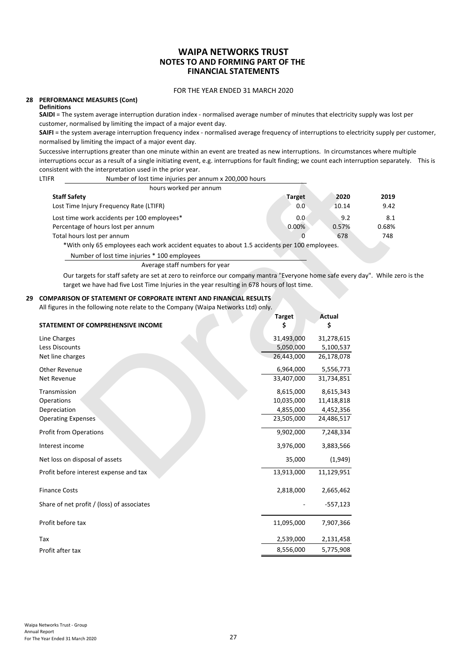#### FOR THE YEAR ENDED 31 MARCH 2020

#### **28 PERFORMANCE MEASURES (Cont) Definitions**

**SAIDI** = The system average interruption duration index - normalised average number of minutes that electricity supply was lost per customer, normalised by limiting the impact of a major event day.

SAIFI = the system average interruption frequency index - normalised average frequency of interruptions to electricity supply per customer, normalised by limiting the impact of a major event day.

Successive interruptions greater than one minute within an event are treated as new interruptions. In circumstances where multiple interruptions occur as a result of a single initiating event, e.g. interruptions for fault finding; we count each interruption separately. This is consistent with the interpretation used in the prior year.

| LTIFR | Number of lost time injuries per annum x 200,000 hours                                       |               |       |       |
|-------|----------------------------------------------------------------------------------------------|---------------|-------|-------|
|       | hours worked per annum                                                                       |               |       |       |
|       | <b>Staff Safety</b>                                                                          | <b>Target</b> | 2020  | 2019  |
|       | Lost Time Injury Frequency Rate (LTIFR)                                                      | 0.0           | 10.14 | 9.42  |
|       | Lost time work accidents per 100 employees*                                                  | 0.0           | 9.2   | 8.1   |
|       | Percentage of hours lost per annum                                                           | 0.00%         | 0.57% | 0.68% |
|       | Total hours lost per annum                                                                   |               | 678   | 748   |
|       | *With only 65 employees each work accident equates to about 1.5 accidents per 100 employees. |               |       |       |
|       | Number of lost time injuries * 100 employees                                                 |               |       |       |
|       | Average staff numbers for year                                                               |               |       |       |

Our targets for staff safety are set at zero to reinforce our company mantra "Everyone home safe every day". While zero is the target we have had five Lost Time Injuries in the year resulting in 678 hours of lost time.

#### **29 COMPARISON OF STATEMENT OF CORPORATE INTENT AND FINANCIAL RESULTS**

| ינכוונ ייונוי נווכ ווונכו טו כנטנוטוו טאכט ווו נווכ טווטו<br>Number of lost time injuries per annum x 200,000 hours<br>LTIFR                                                                                          |               |               |       |
|-----------------------------------------------------------------------------------------------------------------------------------------------------------------------------------------------------------------------|---------------|---------------|-------|
| hours worked per annum                                                                                                                                                                                                |               |               |       |
| <b>Staff Safety</b>                                                                                                                                                                                                   | <b>Target</b> | 2020          | 2019  |
| Lost Time Injury Frequency Rate (LTIFR)                                                                                                                                                                               | 0.0           | 10.14         | 9.42  |
| Lost time work accidents per 100 employees*                                                                                                                                                                           | 0.0           | 9.2           | 8.1   |
| Percentage of hours lost per annum                                                                                                                                                                                    | 0.00%         | 0.57%         | 0.68% |
| Total hours lost per annum                                                                                                                                                                                            | 0             | 678           | 748   |
| *With only 65 employees each work accident equates to about 1.5 accidents per 100 employees.                                                                                                                          |               |               |       |
| Number of lost time injuries * 100 employees                                                                                                                                                                          |               |               |       |
| Average staff numbers for year                                                                                                                                                                                        |               |               |       |
| Our targets for staff safety are set at zero to reinforce our company mantra "Everyone home safe every day". While zer<br>target we have had five Lost Time Injuries in the year resulting in 678 hours of lost time. |               |               |       |
| <b>COMPARISON OF STATEMENT OF CORPORATE INTENT AND FINANCIAL RESULTS</b><br>All figures in the following note relate to the Company (Waipa Networks Ltd) only.                                                        |               |               |       |
|                                                                                                                                                                                                                       | <b>Target</b> | <b>Actual</b> |       |
| STATEMENT OF COMPREHENSIVE INCOME                                                                                                                                                                                     | \$            | \$            |       |
| Line Charges                                                                                                                                                                                                          | 31,493,000    | 31,278,615    |       |
| Less Discounts                                                                                                                                                                                                        | 5,050,000     | 5,100,537     |       |
| Net line charges                                                                                                                                                                                                      | 26,443,000    | 26,178,078    |       |
| <b>Other Revenue</b>                                                                                                                                                                                                  | 6,964,000     | 5,556,773     |       |
| Net Revenue                                                                                                                                                                                                           | 33,407,000    | 31,734,851    |       |
| Transmission                                                                                                                                                                                                          | 8,615,000     | 8,615,343     |       |
| Operations                                                                                                                                                                                                            | 10,035,000    | 11,418,818    |       |
| Depreciation                                                                                                                                                                                                          | 4,855,000     | 4,452,356     |       |
| <b>Operating Expenses</b>                                                                                                                                                                                             | 23,505,000    | 24,486,517    |       |
| <b>Profit from Operations</b>                                                                                                                                                                                         | 9,902,000     | 7,248,334     |       |
| Interest income                                                                                                                                                                                                       | 3,976,000     | 3,883,566     |       |
| Net loss on disposal of assets                                                                                                                                                                                        | 35,000        | (1,949)       |       |
| Profit before interest expense and tax                                                                                                                                                                                | 13,913,000    | 11,129,951    |       |
| <b>Finance Costs</b>                                                                                                                                                                                                  | 2,818,000     | 2,665,462     |       |
| Share of net profit / (loss) of associates                                                                                                                                                                            |               | -557,123      |       |
| Profit before tax                                                                                                                                                                                                     | 11,095,000    | 7,907,366     |       |
| Tax                                                                                                                                                                                                                   | 2,539,000     | 2,131,458     |       |
| Profit after tax                                                                                                                                                                                                      | 8,556,000     | 5,775,908     |       |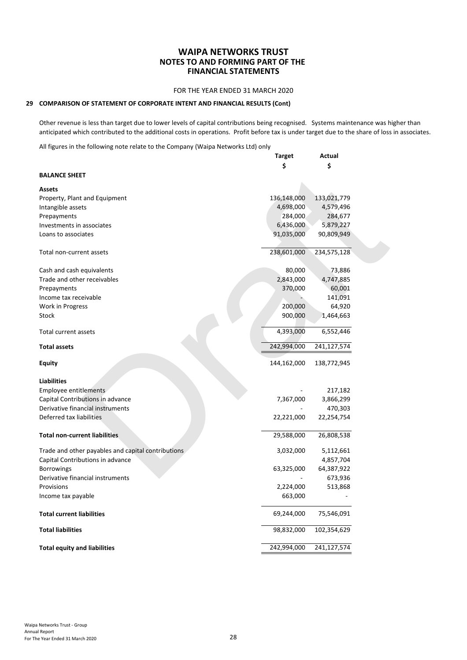#### FOR THE YEAR ENDED 31 MARCH 2020

#### **29 COMPARISON OF STATEMENT OF CORPORATE INTENT AND FINANCIAL RESULTS (Cont)**

Other revenue is less than target due to lower levels of capital contributions being recognised. Systems maintenance was higher than anticipated which contributed to the additional costs in operations. Profit before tax is under target due to the share of loss in associates.

All figures in the following note relate to the Company (Waipa Networks Ltd) only

|                                                    | <b>Target</b> | Actual      |
|----------------------------------------------------|---------------|-------------|
|                                                    | \$            | \$          |
| <b>BALANCE SHEET</b>                               |               |             |
| <b>Assets</b>                                      |               |             |
| Property, Plant and Equipment                      | 136,148,000   | 133,021,779 |
| Intangible assets                                  | 4,698,000     | 4,579,496   |
| Prepayments                                        | 284,000       | 284,677     |
| Investments in associates                          | 6,436,000     | 5,879,227   |
| Loans to associates                                | 91,035,000    | 90,809,949  |
|                                                    |               |             |
| Total non-current assets                           | 238,601,000   | 234,575,128 |
| Cash and cash equivalents                          | 80,000        | 73,886      |
| Trade and other receivables                        | 2,843,000     | 4,747,885   |
| Prepayments                                        | 370,000       | 60,001      |
| Income tax receivable                              |               | 141,091     |
| Work in Progress                                   | 200,000       | 64,920      |
| Stock                                              | 900,000       | 1,464,663   |
|                                                    |               |             |
| Total current assets                               | 4,393,000     | 6,552,446   |
| <b>Total assets</b>                                | 242,994,000   | 241,127,574 |
| <b>Equity</b>                                      | 144,162,000   | 138,772,945 |
| <b>Liabilities</b>                                 |               |             |
| Employee entitlements                              |               | 217,182     |
| Capital Contributions in advance                   | 7,367,000     | 3,866,299   |
| Derivative financial instruments                   |               | 470,303     |
| Deferred tax liabilities                           | 22,221,000    | 22,254,754  |
| <b>Total non-current liabilities</b>               | 29,588,000    | 26,808,538  |
| Trade and other payables and capital contributions | 3,032,000     | 5,112,661   |
| Capital Contributions in advance                   |               | 4,857,704   |
| <b>Borrowings</b>                                  | 63,325,000    | 64,387,922  |
| Derivative financial instruments                   |               | 673,936     |
| Provisions                                         | 2,224,000     | 513,868     |
| Income tax payable                                 | 663,000       |             |
|                                                    |               |             |
| <b>Total current liabilities</b>                   | 69,244,000    | 75,546,091  |
| <b>Total liabilities</b>                           | 98,832,000    | 102,354,629 |
| <b>Total equity and liabilities</b>                | 242,994,000   | 241,127,574 |